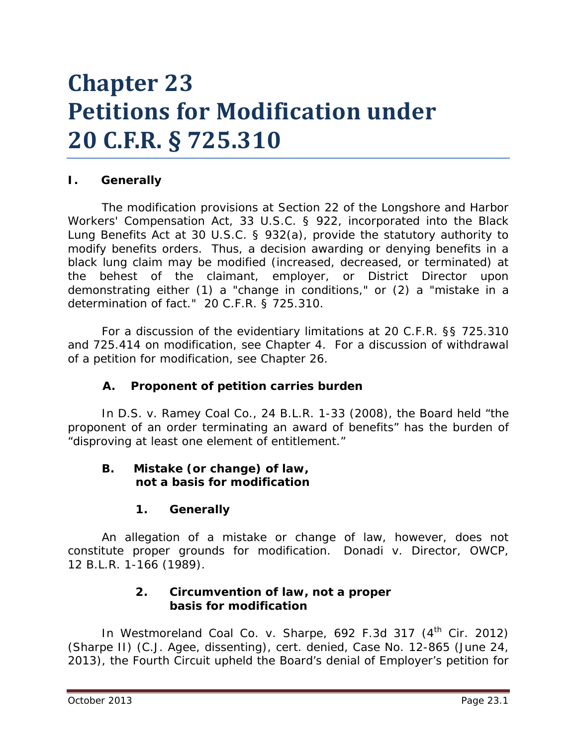# **Chapter 23 Petitions for Modification under 20 C.F.R. § 725.310**

## **I. Generally**

The modification provisions at Section 22 of the Longshore and Harbor Workers' Compensation Act, 33 U.S.C. § 922, incorporated into the Black Lung Benefits Act at 30 U.S.C. § 932(a), provide the statutory authority to modify benefits orders. Thus, a decision awarding or denying benefits in a black lung claim may be modified (increased, decreased, or terminated) at the behest of the claimant, employer, or District Director upon demonstrating either (1) a "change in conditions," or (2) a "mistake in a determination of fact." 20 C.F.R. § 725.310.

For a discussion of the evidentiary limitations at 20 C.F.R. §§ 725.310 and 725.414 on modification, *see* Chapter 4*.* For a discussion of withdrawal of a petition for modification, *see* Chapter 26.

## **A. Proponent of petition carries burden**

In *D.S. v. Ramey Coal Co.*, 24 B.L.R. 1-33 (2008), the Board held "the proponent of an order terminating an award of benefits" has the burden of "disproving at least one element of entitlement."

#### **B. Mistake (or change) of law, not a basis for modification**

#### **1. Generally**

An allegation of a mistake or change of law, however, does not constitute proper grounds for modification. *Donadi v. Director, OWCP*, 12 B.L.R. 1-166 (1989).

#### **2. Circumvention of law, not a proper basis for modification**

In Westmoreland Coal Co. v. Sharpe, 692 F.3d 317 (4<sup>th</sup> Cir. 2012) (*Sharpe II*) (C.J. Agee, dissenting), *cert. denied*, Case No. 12-865 (June 24, 2013), the Fourth Circuit upheld the Board's denial of Employer's petition for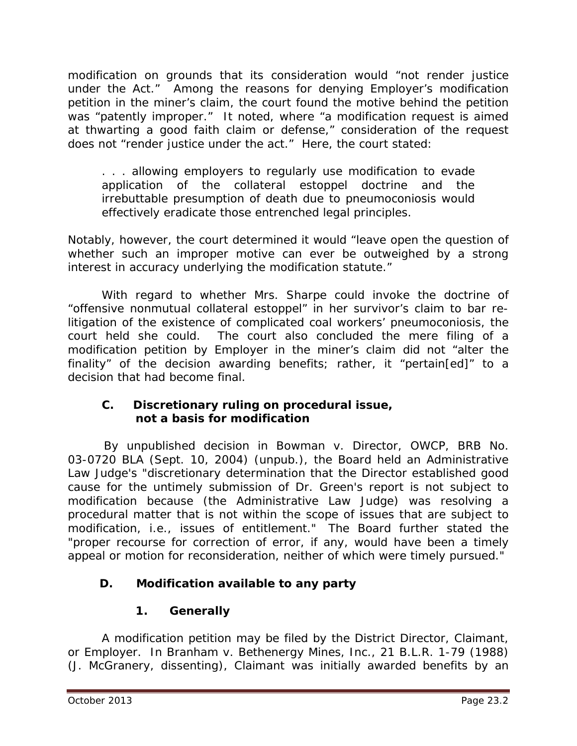modification on grounds that its consideration would "not render justice under the Act." Among the reasons for denying Employer's modification petition in the miner's claim, the court found the motive behind the petition was "patently improper." It noted, where "a modification request is aimed at thwarting a good faith claim or defense," consideration of the request does not "render justice under the act." Here, the court stated:

. . . allowing employers to regularly use modification to evade application of the collateral estoppel doctrine and the irrebuttable presumption of death due to pneumoconiosis would effectively eradicate those entrenched legal principles.

Notably, however, the court determined it would "leave open the question of whether such an improper motive can ever be outweighed by a strong interest in accuracy underlying the modification statute."

With regard to whether Mrs. Sharpe could invoke the doctrine of "offensive nonmutual collateral estoppel" in her survivor's claim to bar relitigation of the existence of complicated coal workers' pneumoconiosis, the court held she could. The court also concluded the mere filing of a modification petition by Employer in the miner's claim did not "alter the finality" of the decision awarding benefits; rather, it "pertain[ed]" to a decision that had become final.

## **C. Discretionary ruling on procedural issue, not a basis for modification**

 By unpublished decision in *Bowman v. Director, OWCP*, BRB No. 03-0720 BLA (Sept. 10, 2004) (unpub.), the Board held an Administrative Law Judge's "discretionary determination that the Director established good cause for the untimely submission of Dr. Green's report is not subject to modification because (the Administrative Law Judge) was resolving a procedural matter that is not within the scope of issues that are subject to modification, *i.e.*, issues of entitlement." The Board further stated the "proper recourse for correction of error, if any, would have been a timely appeal or motion for reconsideration, neither of which were timely pursued."

# **D. Modification available to any party**

# **1. Generally**

A modification petition may be filed by the District Director, Claimant, or Employer. In *Branham v. Bethenergy Mines, Inc.*, 21 B.L.R. 1-79 (1988) (J. McGranery, dissenting), Claimant was initially awarded benefits by an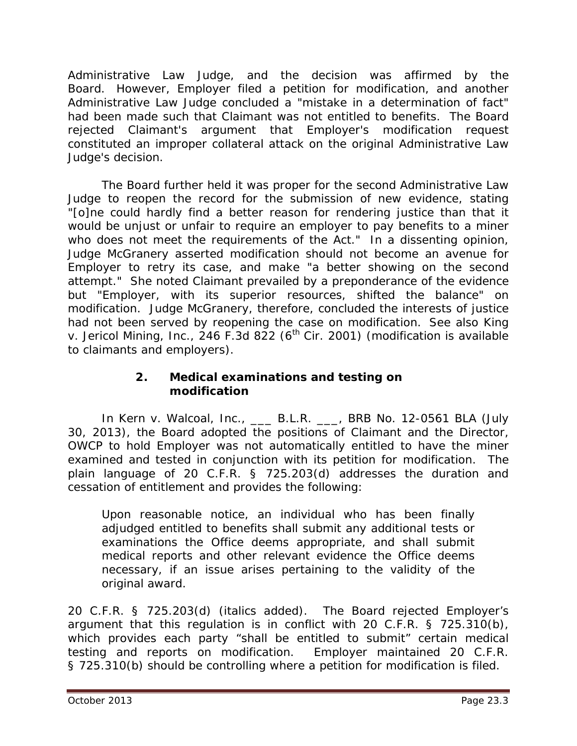Administrative Law Judge, and the decision was affirmed by the Board. However, Employer filed a petition for modification, and another Administrative Law Judge concluded a "mistake in a determination of fact" had been made such that Claimant was not entitled to benefits. The Board rejected Claimant's argument that Employer's modification request constituted an improper collateral attack on the original Administrative Law Judge's decision.

The Board further held it was proper for the second Administrative Law Judge to reopen the record for the submission of new evidence, stating "[o]ne could hardly find a better reason for rendering justice than that it would be unjust or unfair to require an employer to pay benefits to a miner who does not meet the requirements of the Act." In a dissenting opinion, Judge McGranery asserted modification should not become an avenue for Employer to retry its case, and make "a better showing on the second attempt." She noted Claimant prevailed by a preponderance of the evidence but "Employer, with its superior resources, shifted the balance" on modification. Judge McGranery, therefore, concluded the interests of justice had not been served by reopening the case on modification. *See also King v. Jericol Mining, Inc.*, 246 F.3d 822 (6<sup>th</sup> Cir. 2001) (modification is available to claimants and employers).

#### **2. Medical examinations and testing on modification**

In *Kern v. Walcoal, Inc.*, \_\_\_ B.L.R. \_\_\_, BRB No. 12-0561 BLA (July 30, 2013), the Board adopted the positions of Claimant and the Director, OWCP to hold Employer was not automatically entitled to have the miner examined and tested in conjunction with its petition for modification. The plain language of 20 C.F.R. § 725.203(d) addresses the duration and cessation of entitlement and provides the following:

Upon reasonable notice, an individual who has been finally adjudged entitled to benefits shall submit any additional tests or examinations the Office deems appropriate, and shall submit medical reports and other relevant evidence the Office deems necessary, *if an issue arises pertaining to the validity of the original award.*

20 C.F.R. § 725.203(d) (italics added). The Board rejected Employer's argument that this regulation is in conflict with 20 C.F.R. § 725.310(b), which provides each party "shall be entitled to submit" certain medical testing and reports on modification. Employer maintained 20 C.F.R. § 725.310(b) should be controlling where a petition for modification is filed.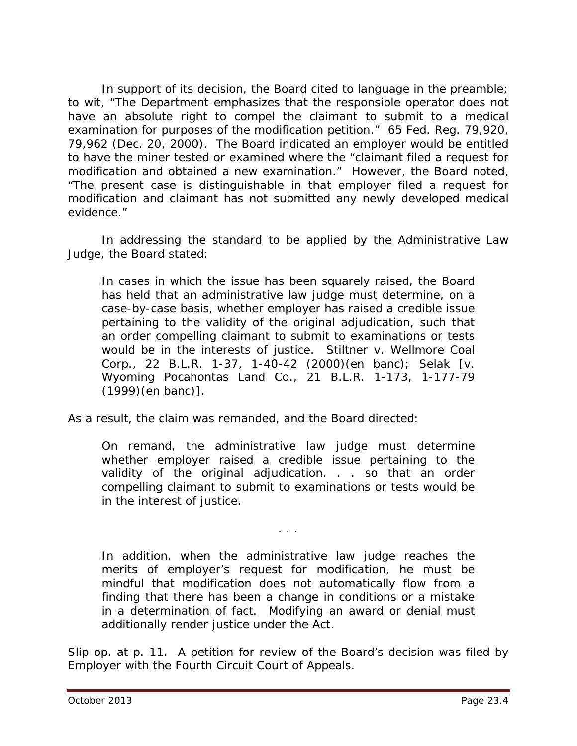In support of its decision, the Board cited to language in the preamble; *to wit*, "The Department emphasizes that the responsible operator does not have an absolute right to compel the claimant to submit to a medical examination for purposes of the modification petition." 65 Fed. Reg. 79,920, 79,962 (Dec. 20, 2000). The Board indicated an employer would be entitled to have the miner tested or examined where the "claimant filed a request for modification and obtained a new examination." However, the Board noted, "The present case is distinguishable in that employer filed a request for modification and claimant has not submitted any newly developed medical evidence."

In addressing the standard to be applied by the Administrative Law Judge, the Board stated:

In cases in which the issue has been squarely raised, the Board has held that an administrative law judge must determine, on a case-by-case basis, whether employer has raised a credible issue pertaining to the validity of the original adjudication, such that an order compelling claimant to submit to examinations or tests would be in the interests of justice. *Stiltner v. Wellmore Coal Corp.*, 22 B.L.R. 1-37, 1-40-42 (2000)(en banc); *Selak* [*v. Wyoming Pocahontas Land Co.*, 21 B.L.R. 1-173, 1-177-79 (1999)(en banc)].

As a result, the claim was remanded, and the Board directed:

On remand, the administrative law judge must determine whether employer raised a credible issue pertaining to the validity of the original adjudication. . . so that an order compelling claimant to submit to examinations or tests would be in the interest of justice.

. . .

In addition, when the administrative law judge reaches the merits of employer's request for modification, he must be mindful that modification does not automatically flow from a finding that there has been a change in conditions or a mistake in a determination of fact. Modifying an award or denial must additionally render justice under the Act.

*Slip op.* at p. 11. A petition for review of the Board's decision was filed by Employer with the Fourth Circuit Court of Appeals.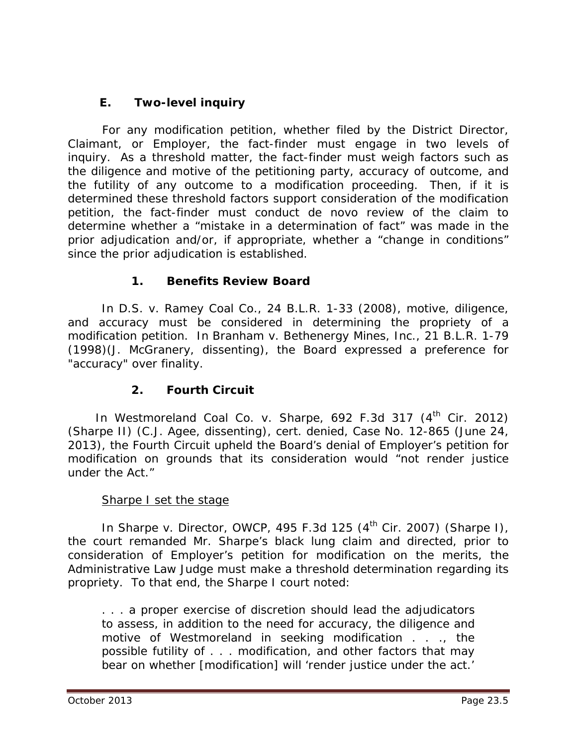# **E. Two-level inquiry**

 For any modification petition, whether filed by the District Director, Claimant, or Employer, the fact-finder must engage in two levels of inquiry. As a threshold matter, the fact-finder must weigh factors such as the diligence and motive of the petitioning party, accuracy of outcome, and the futility of any outcome to a modification proceeding. Then, if it is determined these threshold factors support consideration of the modification petition, the fact-finder must conduct *de novo* review of the claim to determine whether a "mistake in a determination of fact" was made in the prior adjudication and/or, if appropriate, whether a "change in conditions" since the prior adjudication is established.

## **1. Benefits Review Board**

In *D.S. v. Ramey Coal Co.*, 24 B.L.R. 1-33 (2008), motive, diligence, and accuracy must be considered in determining the propriety of a modification petition. In *Branham v. Bethenergy Mines, Inc.*, 21 B.L.R. 1-79 (1998)(J. McGranery, dissenting), the Board expressed a preference for "accuracy" over finality.

## **2. Fourth Circuit**

In Westmoreland Coal Co. v. Sharpe, 692 F.3d 317 (4<sup>th</sup> Cir. 2012) (*Sharpe II*) (C.J. Agee, dissenting), *cert. denied*, Case No. 12-865 (June 24, 2013), the Fourth Circuit upheld the Board's denial of Employer's petition for modification on grounds that its consideration would "not render justice under the Act."

#### **Sharpe I set the stage**

In *Sharpe v. Director, OWCP*, 495 F.3d 125 (4th Cir. 2007) (*Sharpe I*), the court remanded Mr. Sharpe's black lung claim and directed, prior to consideration of Employer's petition for modification on the merits, the Administrative Law Judge must make a threshold determination regarding its propriety. To that end, the *Sharpe I* court noted:

. . . a proper exercise of discretion should lead the adjudicators to assess, in addition to the need for accuracy, the diligence and motive of Westmoreland in seeking modification . . ., the possible futility of . . . modification, and other factors that may bear on whether [modification] will 'render justice under the act.'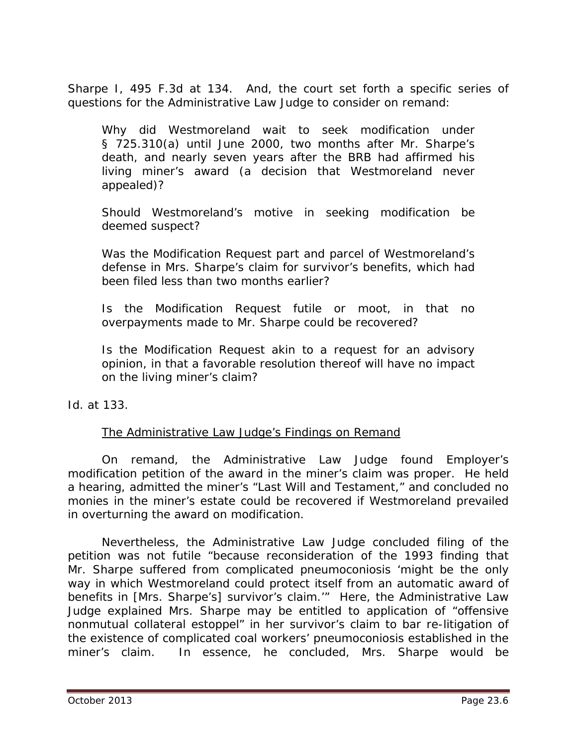*Sharpe I*, 495 F.3d at 134. And, the court set forth a specific series of questions for the Administrative Law Judge to consider on remand:

Why did Westmoreland wait to seek modification under § 725.310(a) until June 2000, two months after Mr. Sharpe's death, and nearly seven years after the BRB had affirmed his living miner's award (a decision that Westmoreland never appealed)?

Should Westmoreland's motive in seeking modification be deemed suspect?

Was the Modification Request part and parcel of Westmoreland's defense in Mrs. Sharpe's claim for survivor's benefits, which had been filed less than two months earlier?

Is the Modification Request futile or moot, in that no overpayments made to Mr. Sharpe could be recovered?

Is the Modification Request akin to a request for an advisory opinion, in that a favorable resolution thereof will have no impact on the living miner's claim?

*Id.* at 133.

#### The Administrative Law Judge's Findings on Remand

On remand, the Administrative Law Judge found Employer's modification petition of the award in the miner's claim was proper. He held a hearing, admitted the miner's "Last Will and Testament," and concluded no monies in the miner's estate could be recovered if Westmoreland prevailed in overturning the award on modification.

Nevertheless, the Administrative Law Judge concluded filing of the petition was not futile "because reconsideration of the 1993 finding that Mr. Sharpe suffered from complicated pneumoconiosis 'might be the only way in which Westmoreland could protect itself from an automatic award of benefits in [Mrs. Sharpe's] survivor's claim.'" Here, the Administrative Law Judge explained Mrs. Sharpe may be entitled to application of "offensive nonmutual collateral estoppel" in her survivor's claim to bar re-litigation of the existence of complicated coal workers' pneumoconiosis established in the miner's claim. In essence, he concluded, Mrs. Sharpe would be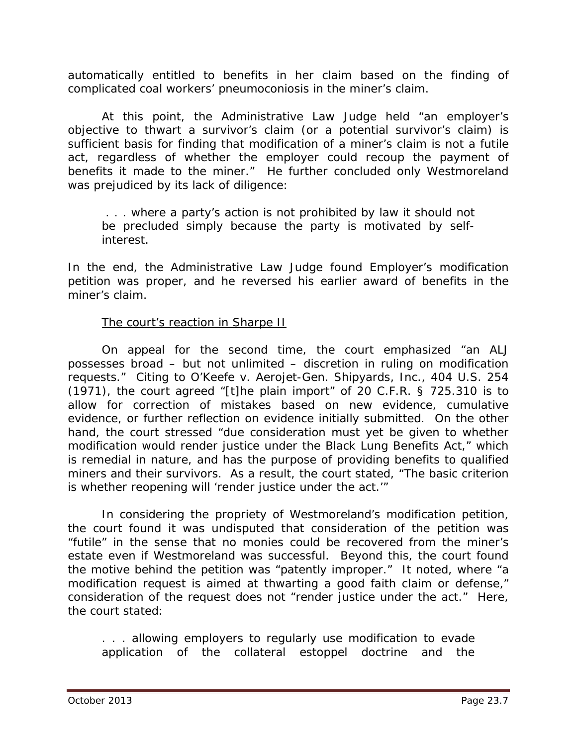automatically entitled to benefits in her claim based on the finding of complicated coal workers' pneumoconiosis in the miner's claim.

At this point, the Administrative Law Judge held "an employer's objective to thwart a survivor's claim (or a potential survivor's claim) is sufficient basis for finding that modification of a miner's claim is not a futile act, regardless of whether the employer could recoup the payment of benefits it made to the miner." He further concluded only Westmoreland was prejudiced by its lack of diligence:

. . . where a party's action is not prohibited by law it should not be precluded simply because the party is motivated by selfinterest.

In the end, the Administrative Law Judge found Employer's modification petition was proper, and he reversed his earlier award of benefits in the miner's claim.

#### The court's reaction in *Sharpe II*

On appeal for the second time, the court emphasized "an ALJ possesses broad – but not unlimited – discretion in ruling on modification requests." Citing to *O'Keefe v. Aerojet-Gen. Shipyards, Inc.*, 404 U.S. 254 (1971), the court agreed "[t]he plain import" of 20 C.F.R. § 725.310 is to allow for correction of mistakes based on new evidence, cumulative evidence, or further reflection on evidence initially submitted. On the other hand, the court stressed "due consideration must yet be given to whether modification would render justice under the Black Lung Benefits Act," which is remedial in nature, and has the purpose of providing benefits to qualified miners and their survivors. As a result, the court stated, "The basic criterion is whether reopening will 'render justice under the act.'"

In considering the propriety of Westmoreland's modification petition, the court found it was undisputed that consideration of the petition was "futile" in the sense that no monies could be recovered from the miner's estate even if Westmoreland was successful. Beyond this, the court found the motive behind the petition was "patently improper." It noted, where "a modification request is aimed at thwarting a good faith claim or defense," consideration of the request does not "render justice under the act." Here, the court stated:

. . . allowing employers to regularly use modification to evade application of the collateral estoppel doctrine and the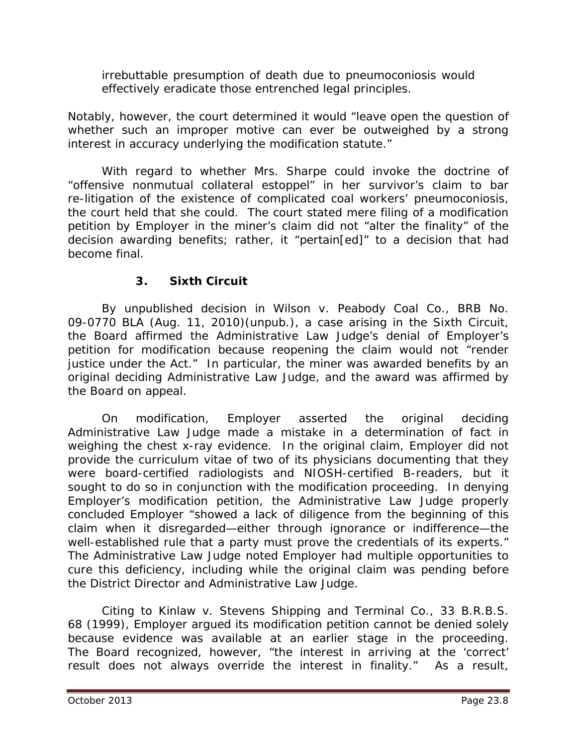irrebuttable presumption of death due to pneumoconiosis would effectively eradicate those entrenched legal principles.

Notably, however, the court determined it would "leave open the question of whether such an improper motive can ever be outweighed by a strong interest in accuracy underlying the modification statute."

With regard to whether Mrs. Sharpe could invoke the doctrine of "offensive nonmutual collateral estoppel" in her survivor's claim to bar re-litigation of the existence of complicated coal workers' pneumoconiosis, the court held that she could. The court stated mere filing of a modification petition by Employer in the miner's claim did not "alter the finality" of the decision awarding benefits; rather, it "pertain[ed]" to a decision that had become final.

## **3. Sixth Circuit**

By unpublished decision in *Wilson v. Peabody Coal Co.*, BRB No. 09-0770 BLA (Aug. 11, 2010)(unpub.), a case arising in the Sixth Circuit, the Board affirmed the Administrative Law Judge's denial of Employer's petition for modification because reopening the claim would not "render justice under the Act." In particular, the miner was awarded benefits by an original deciding Administrative Law Judge, and the award was affirmed by the Board on appeal.

On modification, Employer asserted the original deciding Administrative Law Judge made a mistake in a determination of fact in weighing the chest x-ray evidence. In the original claim, Employer did not provide the *curriculum vitae* of two of its physicians documenting that they were board-certified radiologists and NIOSH-certified B-readers, but it sought to do so in conjunction with the modification proceeding. In denying Employer's modification petition, the Administrative Law Judge properly concluded Employer "showed a lack of diligence from the beginning of this claim when it disregarded—either through ignorance or indifference—the well-established rule that a party must prove the credentials of its experts." The Administrative Law Judge noted Employer had multiple opportunities to cure this deficiency, including while the original claim was pending before the District Director and Administrative Law Judge.

Citing to *Kinlaw v. Stevens Shipping and Terminal Co.,* 33 B.R.B.S. 68 (1999), Employer argued its modification petition cannot be denied solely because evidence was available at an earlier stage in the proceeding. The Board recognized, however, "the interest in arriving at the 'correct' result does not always override the interest in finality." As a result,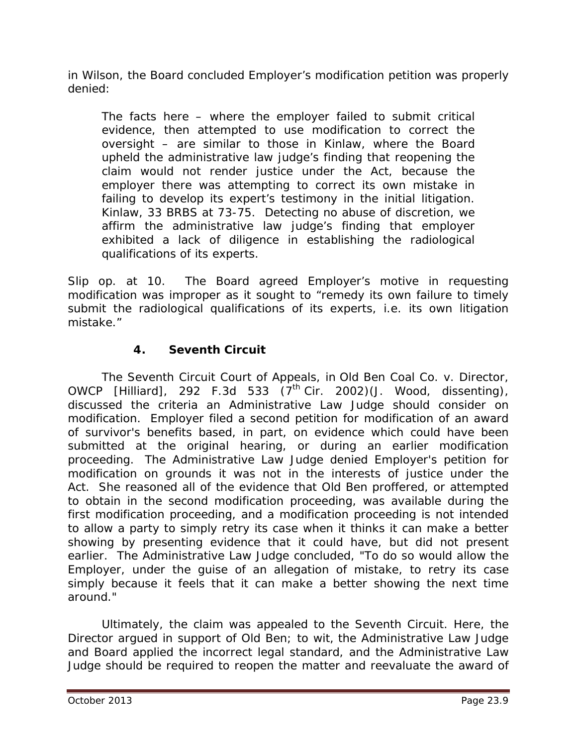in *Wilson,* the Board concluded Employer's modification petition was properly denied:

The facts here – where the employer failed to submit critical evidence, then attempted to use modification to correct the oversight – are similar to those in *Kinlaw*, where the Board upheld the administrative law judge's finding that reopening the claim would not render justice under the Act, because the employer there was attempting to correct its own mistake in failing to develop its expert's testimony in the initial litigation. *Kinlaw*, 33 BRBS at 73-75. Detecting no abuse of discretion, we affirm the administrative law judge's finding that employer exhibited a lack of diligence in establishing the radiological qualifications of its experts.

*Slip op.* at 10. The Board agreed Employer's motive in requesting modification was improper as it sought to "remedy its own failure to timely submit the radiological qualifications of its experts, *i.e.* its own litigation mistake."

## **4. Seventh Circuit**

The Seventh Circuit Court of Appeals, in *Old Ben Coal Co. v. Director, OWCP [Hilliard]*, 292 F.3d 533 (7th Cir. 2002)(J. Wood, dissenting), discussed the criteria an Administrative Law Judge should consider on modification. Employer filed a second petition for modification of an award of survivor's benefits based, in part, on evidence which could have been submitted at the original hearing, or during an earlier modification proceeding. The Administrative Law Judge denied Employer's petition for modification on grounds it was not in the interests of justice under the Act. She reasoned all of the evidence that Old Ben proffered, or attempted to obtain in the second modification proceeding, was available during the first modification proceeding, and a modification proceeding is not intended to allow a party to simply retry its case when it thinks it can make a better showing by presenting evidence that it could have, but did not present earlier. The Administrative Law Judge concluded, "To do so would allow the Employer, under the guise of an allegation of mistake, to retry its case simply because it feels that it can make a better showing the next time around."

Ultimately, the claim was appealed to the Seventh Circuit. Here, the Director argued in support of Old Ben; *to wit,* the Administrative Law Judge and Board applied the incorrect legal standard, and the Administrative Law Judge should be required to reopen the matter and reevaluate the award of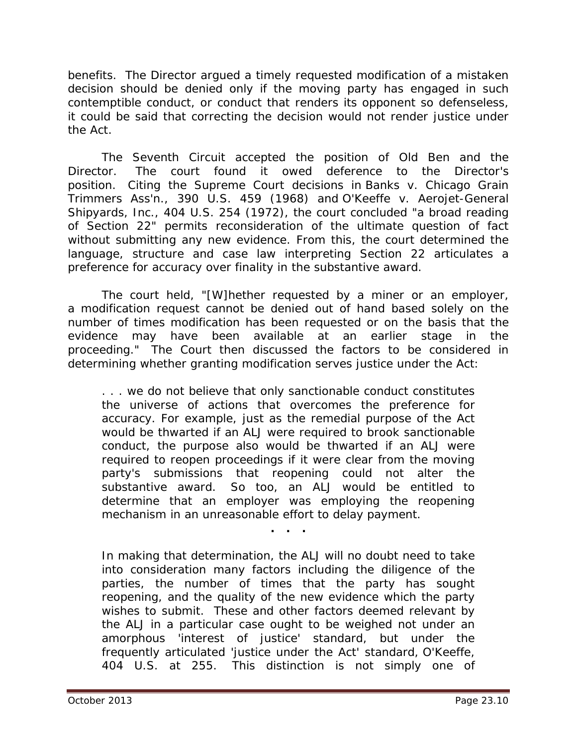benefits. The Director argued a timely requested modification of a mistaken decision should be denied only if the moving party has engaged in such contemptible conduct, or conduct that renders its opponent so defenseless, it could be said that correcting the decision would not render justice under the Act.

The Seventh Circuit accepted the position of Old Ben and the Director. The court found it owed deference to the Director's position. Citing the Supreme Court decisions in *Banks v. Chicago Grain Trimmers Ass'n.*, 390 U.S. 459 (1968) and *O'Keeffe v. Aerojet-General Shipyards, Inc.*, 404 U.S. 254 (1972), the court concluded "a broad reading of Section 22" permits reconsideration of the ultimate question of fact without submitting any new evidence. From this, the court determined the language, structure and case law interpreting Section 22 articulates a preference for accuracy over finality in the substantive award.

The court held, "[W]hether requested by a miner or an employer, a modification request cannot be denied out of hand based solely on the number of times modification has been requested or on the basis that the evidence may have been available at an earlier stage in the proceeding." The Court then discussed the factors to be considered in determining whether granting modification serves justice under the Act:

. . . we do not believe that only sanctionable conduct constitutes the universe of actions that overcomes the preference for accuracy. For example, just as the remedial purpose of the Act would be thwarted if an ALJ were required to brook sanctionable conduct, the purpose also would be thwarted if an ALJ were required to reopen proceedings if it were clear from the moving party's submissions that reopening could not alter the substantive award. So too, an ALJ would be entitled to determine that an employer was employing the reopening mechanism in an unreasonable effort to delay payment.

**. . .**

In making that determination, the ALJ will no doubt need to take into consideration many factors including the diligence of the parties, the number of times that the party has sought reopening, and the quality of the new evidence which the party wishes to submit. These and other factors deemed relevant by the ALJ in a particular case ought to be weighed not under an amorphous 'interest of justice' standard, but under the frequently articulated 'justice under the Act' standard, *O'Keeffe*, 404 U.S. at 255. This distinction is not simply one of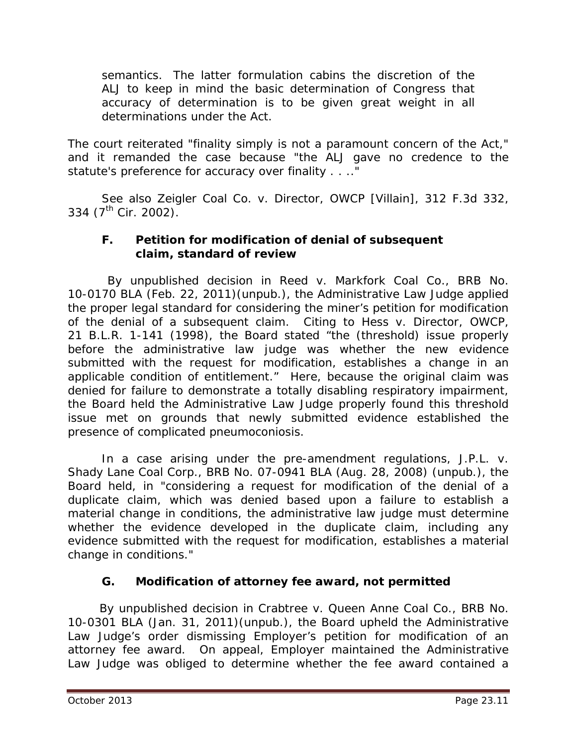semantics. The latter formulation cabins the discretion of the ALJ to keep in mind the basic determination of Congress that accuracy of determination is to be given great weight in all determinations under the Act.

The court reiterated "finality simply is not a paramount concern of the Act," and it remanded the case because "the ALJ gave no credence to the statute's preference for accuracy over finality . . .."

*See also Zeigler Coal Co. v. Director, OWCP [Villain]*, 312 F.3d 332, 334 ( $7^{\text{th}}$  Cir. 2002).

#### **F. Petition for modification of denial of subsequent claim, standard of review**

 By unpublished decision in *Reed v. Markfork Coal Co.*, BRB No. 10-0170 BLA (Feb. 22, 2011)(unpub.), the Administrative Law Judge applied the proper legal standard for considering the miner's petition for modification of the denial of a subsequent claim. Citing to *Hess v. Director, OWCP*, 21 B.L.R. 1-141 (1998), the Board stated "the (threshold) issue properly before the administrative law judge was whether the new evidence submitted with the request for modification, establishes a change in an applicable condition of entitlement." Here, because the original claim was denied for failure to demonstrate a totally disabling respiratory impairment, the Board held the Administrative Law Judge properly found this threshold issue met on grounds that newly submitted evidence established the presence of complicated pneumoconiosis.

 In a case arising under the pre-amendment regulations, *J.P.L. v. Shady Lane Coal Corp.*, BRB No. 07-0941 BLA (Aug. 28, 2008) (unpub.), the Board held, in "considering a request for modification of the denial of a duplicate claim, which was denied based upon a failure to establish a material change in conditions, the administrative law judge must determine whether the evidence developed in the duplicate claim, including any evidence submitted with the request for modification, establishes a material change in conditions."

## **G. Modification of attorney fee award, not permitted**

 By unpublished decision in *Crabtree v. Queen Anne Coal Co.*, BRB No. 10-0301 BLA (Jan. 31, 2011)(unpub.), the Board upheld the Administrative Law Judge's order dismissing Employer's petition for modification of an attorney fee award. On appeal, Employer maintained the Administrative Law Judge was obliged to determine whether the fee award contained a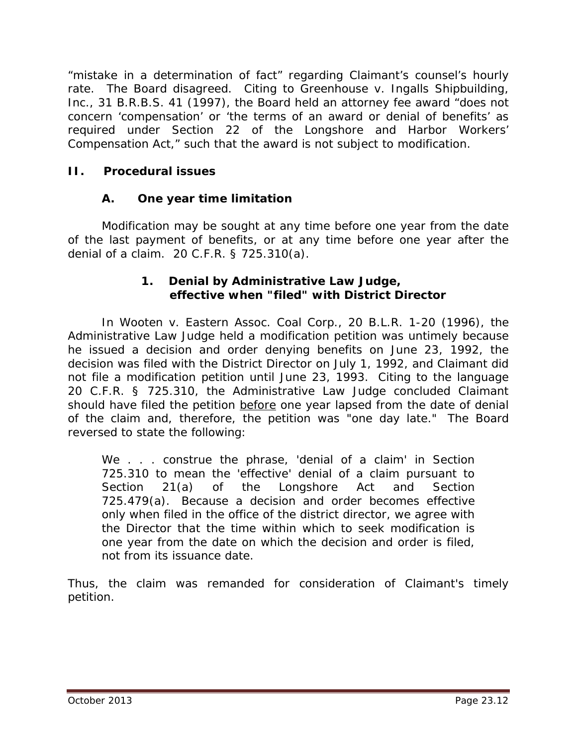"mistake in a determination of fact" regarding Claimant's counsel's hourly rate. The Board disagreed. Citing to *Greenhouse v. Ingalls Shipbuilding, Inc.*, 31 B.R.B.S. 41 (1997), the Board held an attorney fee award "does not concern 'compensation' or 'the terms of an award or denial of benefits' as required under Section 22 of the Longshore and Harbor Workers' Compensation Act," such that the award is not subject to modification.

## **II. Procedural issues**

## **A. One year time limitation**

Modification may be sought at any time before one year from the date of the last payment of benefits, or at any time before one year after the denial of a claim. 20 C.F.R. § 725.310(a).

#### **1. Denial by Administrative Law Judge, effective when "filed" with District Director**

In *Wooten v. Eastern Assoc. Coal Corp.*, 20 B.L.R. 1-20 (1996), the Administrative Law Judge held a modification petition was untimely because he issued a decision and order denying benefits on June 23, 1992, the decision was filed with the District Director on July 1, 1992, and Claimant did not file a modification petition until June 23, 1993. Citing to the language 20 C.F.R. § 725.310, the Administrative Law Judge concluded Claimant should have filed the petition *before* one year lapsed from the date of denial of the claim and, therefore, the petition was "one day late." The Board reversed to state the following:

We . . . construe the phrase, 'denial of a claim' in Section 725.310 to mean the 'effective' denial of a claim pursuant to Section 21(a) of the Longshore Act and Section 725.479(a). Because a decision and order becomes effective only when filed in the office of the district director, we agree with the Director that the time within which to seek modification is one year from the date on which the decision and order is filed, not from its issuance date.

Thus, the claim was remanded for consideration of Claimant's timely petition.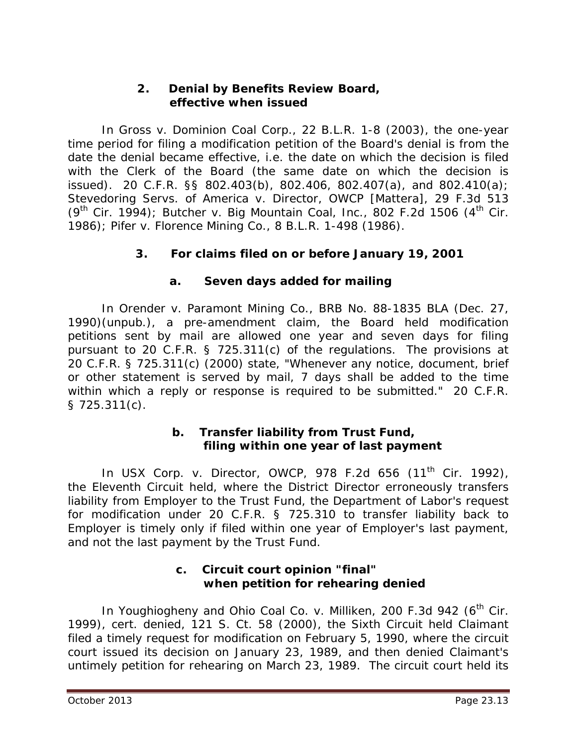#### **2. Denial by Benefits Review Board, effective when issued**

In *Gross v. Dominion Coal Corp.*, 22 B.L.R. 1-8 (2003), the one-year time period for filing a modification petition of the Board's denial is from the date the denial became effective, *i.e.* the date on which the decision is filed with the Clerk of the Board (the same date on which the decision is issued). 20 C.F.R. §§ 802.403(b), 802.406, 802.407(a), and 802.410(a); *Stevedoring Servs. of America v. Director, OWCP [Mattera]*, 29 F.3d 513 (9th Cir. 1994); *Butcher v. Big Mountain Coal, Inc.*, 802 F.2d 1506 (4th Cir. 1986); *Pifer v. Florence Mining Co.*, 8 B.L.R. 1-498 (1986).

## **3. For claims filed on or before January 19, 2001**

#### **a. Seven days added for mailing**

In *Orender v. Paramont Mining Co.*, BRB No. 88-1835 BLA (Dec. 27, 1990)(unpub.), a pre-amendment claim, the Board held modification petitions sent by mail are allowed one year and seven days for filing pursuant to 20 C.F.R. § 725.311(c) of the regulations. The provisions at 20 C.F.R. § 725.311(c) (2000) state, "Whenever any notice, document, brief or other statement is served by mail, 7 days shall be added to the time within which a reply or response is required to be submitted." 20 C.F.R. § 725.311(c).

#### **b. Transfer liability from Trust Fund, filing within one year of last payment**

In *USX Corp. v. Director, OWCP*, 978 F.2d 656 (11<sup>th</sup> Cir. 1992), the Eleventh Circuit held, where the District Director erroneously transfers liability from Employer to the Trust Fund, the Department of Labor's request for modification under 20 C.F.R. § 725.310 to transfer liability back to Employer is timely only if filed within one year of Employer's last payment, and not the last payment by the Trust Fund.

#### **c. Circuit court opinion "final" when petition for rehearing denied**

In *Youghiogheny and Ohio Coal Co. v. Milliken*, 200 F.3d 942 (6<sup>th</sup> Cir. 1999), *cert. denied,* 121 S. Ct. 58 (2000), the Sixth Circuit held Claimant filed a timely request for modification on February 5, 1990, where the circuit court issued its decision on January 23, 1989, and then denied Claimant's untimely petition for rehearing on March 23, 1989. The circuit court held its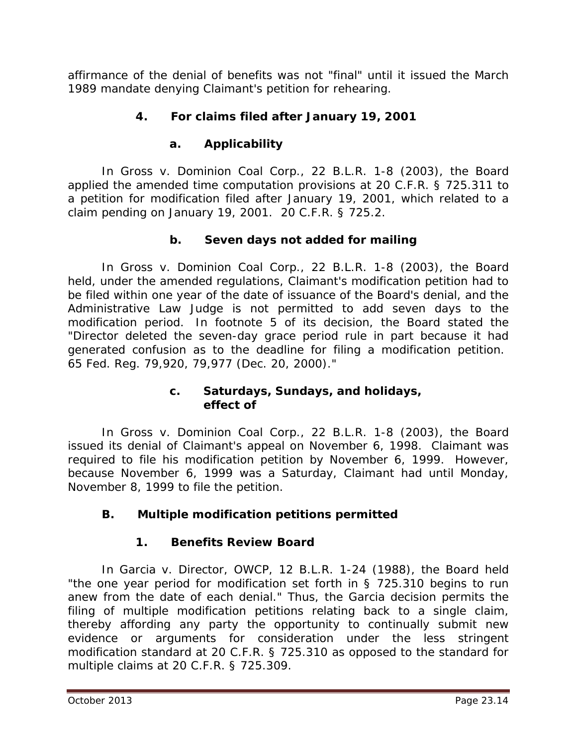affirmance of the denial of benefits was not "final" until it issued the March 1989 mandate denying Claimant's petition for rehearing.

# **4. For claims filed after January 19, 2001**

# **a. Applicability**

In *Gross v. Dominion Coal Corp.*, 22 B.L.R. 1-8 (2003), the Board applied the amended time computation provisions at 20 C.F.R. § 725.311 to a petition for modification filed after January 19, 2001, which related to a claim pending on January 19, 2001. 20 C.F.R. § 725.2.

# **b. Seven days not added for mailing**

In *Gross v. Dominion Coal Corp.*, 22 B.L.R. 1-8 (2003), the Board held, under the amended regulations, Claimant's modification petition had to be filed within one year of the date of issuance of the Board's denial, and the Administrative Law Judge is not permitted to add seven days to the modification period. In footnote 5 of its decision, the Board stated the "Director deleted the seven-day grace period rule in part because it had generated confusion as to the deadline for filing a modification petition. 65 Fed. Reg. 79,920, 79,977 (Dec. 20, 2000)."

#### **c. Saturdays, Sundays, and holidays, effect of**

In *Gross v. Dominion Coal Corp.*, 22 B.L.R. 1-8 (2003), the Board issued its denial of Claimant's appeal on November 6, 1998. Claimant was required to file his modification petition by November 6, 1999. However, because November 6, 1999 was a Saturday, Claimant had until Monday, November 8, 1999 to file the petition.

# **B. Multiple modification petitions permitted**

# **1. Benefits Review Board**

In *Garcia v. Director, OWCP*, 12 B.L.R. 1-24 (1988), the Board held "the one year period for modification set forth in § 725.310 begins to run anew from the date of each denial." Thus, the *Garcia* decision permits the filing of multiple modification petitions relating back to a single claim, thereby affording any party the opportunity to continually submit new evidence or arguments for consideration under the less stringent modification standard at 20 C.F.R. § 725.310 as opposed to the standard for multiple claims at 20 C.F.R. § 725.309.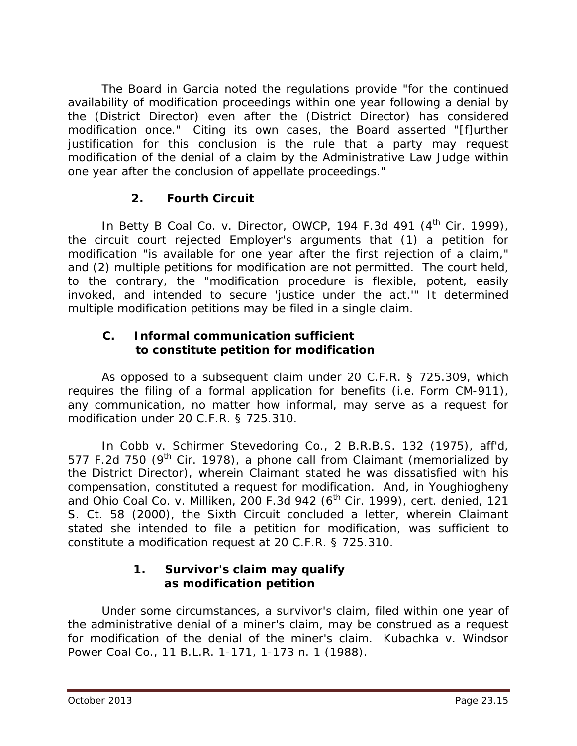The Board in *Garcia* noted the regulations provide "for the continued availability of modification proceedings within one year following a denial by the (District Director) even after the (District Director) has considered modification once." Citing its own cases, the Board asserted "[f]urther justification for this conclusion is the rule that a party may request modification of the denial of a claim by the Administrative Law Judge within one year after the conclusion of appellate proceedings."

## **2. Fourth Circuit**

In *Betty B Coal Co. v. Director, OWCP*, 194 F.3d 491 (4<sup>th</sup> Cir. 1999), the circuit court rejected Employer's arguments that (1) a petition for modification "is available for one year after the first rejection of a claim," and (2) multiple petitions for modification are not permitted. The court held, to the contrary, the "modification procedure is flexible, potent, easily invoked, and intended to secure 'justice under the act.'" It determined multiple modification petitions may be filed in a single claim.

## **C. Informal communication sufficient to constitute petition for modification**

As opposed to a subsequent claim under 20 C.F.R. § 725.309, which requires the filing of a formal application for benefits (*i.e.* Form CM-911), any communication, no matter how informal, may serve as a request for modification under 20 C.F.R. § 725.310.

In *Cobb v. Schirmer Stevedoring Co.*, 2 B.R.B.S. 132 (1975), *aff'd,* 577 F.2d 750 ( $9<sup>th</sup>$  Cir. 1978), a phone call from Claimant (memorialized by the District Director), wherein Claimant stated he was dissatisfied with his compensation, constituted a request for modification. And, in *Youghiogheny and Ohio Coal Co. v. Milliken*, 200 F.3d 942 (6th Cir. 1999), *cert. denied*, 121 S. Ct. 58 (2000), the Sixth Circuit concluded a letter, wherein Claimant stated she *intended* to file a petition for modification, was sufficient to constitute a modification request at 20 C.F.R. § 725.310.

## **1. Survivor's claim may qualify as modification petition**

Under some circumstances, a survivor's claim, filed within one year of the administrative denial of a miner's claim, may be construed as a request for modification of the denial of the miner's claim. *Kubachka v. Windsor Power Coal Co.*, 11 B.L.R. 1-171, 1-173 n. 1 (1988).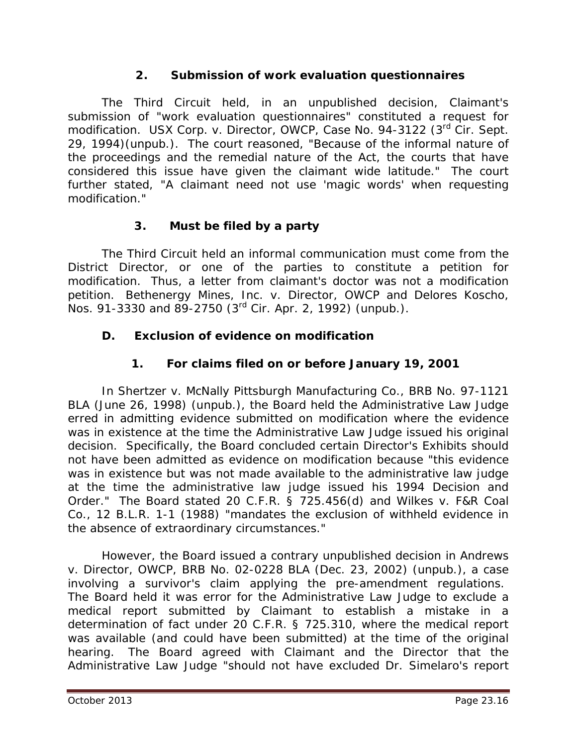#### **2. Submission of work evaluation questionnaires**

The Third Circuit held, in an unpublished decision, Claimant's submission of "work evaluation questionnaires" constituted a request for modification. *USX Corp. v. Director, OWCP*, Case No. 94-3122 (3rd Cir. Sept. 29, 1994)(unpub.). The court reasoned, "Because of the informal nature of the proceedings and the remedial nature of the Act, the courts that have considered this issue have given the claimant wide latitude." The court further stated, "A claimant need not use 'magic words' when requesting modification."

## **3. Must be filed by a party**

The Third Circuit held an informal communication must come from the District Director, or one of the parties to constitute a petition for modification. Thus, a letter from claimant's doctor was not a modification petition. *Bethenergy Mines, Inc. v. Director, OWCP and Delores Koscho*, Nos. 91-3330 and 89-2750 (3rd Cir. Apr. 2, 1992) (unpub.).

# **D. Exclusion of evidence on modification**

## **1. For claims filed on or before January 19, 2001**

In *Shertzer v. McNally Pittsburgh Manufacturing Co.*, BRB No. 97-1121 BLA (June 26, 1998) (unpub.), the Board held the Administrative Law Judge erred in admitting evidence submitted on modification where the evidence was in existence at the time the Administrative Law Judge issued his original decision. Specifically, the Board concluded certain *Director's Exhibits* should not have been admitted as evidence on modification because "this evidence was in existence but was not made available to the administrative law judge at the time the administrative law judge issued his 1994 Decision and Order." The Board stated 20 C.F.R. § 725.456(d) and *Wilkes v. F&R Coal Co.*, 12 B.L.R. 1-1 (1988) "mandates the exclusion of withheld evidence in the absence of extraordinary circumstances."

However, the Board issued a contrary unpublished decision in *Andrews v. Director, OWCP*, BRB No. 02-0228 BLA (Dec. 23, 2002) (unpub.), a case involving a survivor's claim applying the pre-amendment regulations. The Board held it was error for the Administrative Law Judge to exclude a medical report submitted by Claimant to establish a mistake in a determination of fact under 20 C.F.R. § 725.310, where the medical report was available (and could have been submitted) at the time of the original hearing. The Board agreed with Claimant and the Director that the Administrative Law Judge "should not have excluded Dr. Simelaro's report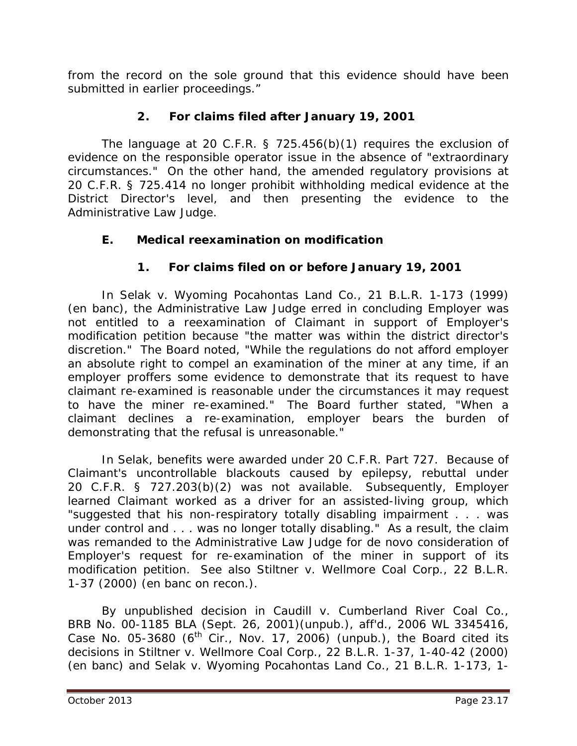from the record on the sole ground that this evidence should have been submitted in earlier proceedings."

## **2. For claims filed after January 19, 2001**

The language at 20 C.F.R. § 725.456(b)(1) requires the exclusion of evidence on the responsible operator issue in the absence of "extraordinary circumstances." On the other hand, the amended regulatory provisions at 20 C.F.R. § 725.414 no longer prohibit withholding medical evidence at the District Director's level, and then presenting the evidence to the Administrative Law Judge.

## **E. Medical reexamination on modification**

# **1. For claims filed on or before January 19, 2001**

In *Selak v. Wyoming Pocahontas Land Co.*, 21 B.L.R. 1-173 (1999) (en banc), the Administrative Law Judge erred in concluding Employer was not entitled to a reexamination of Claimant in support of Employer's modification petition because "the matter was within the district director's discretion." The Board noted, "While the regulations do not afford employer an absolute right to compel an examination of the miner at any time, if an employer proffers some evidence to demonstrate that its request to have claimant re-examined is reasonable under the circumstances it may request to have the miner re-examined." The Board further stated, "When a claimant declines a re-examination, employer bears the burden of demonstrating that the refusal is unreasonable."

In *Selak*, benefits were awarded under 20 C.F.R. Part 727. Because of Claimant's uncontrollable blackouts caused by epilepsy, rebuttal under 20 C.F.R. § 727.203(b)(2) was not available. Subsequently, Employer learned Claimant worked as a driver for an assisted-living group, which "suggested that his non-respiratory totally disabling impairment . . . was under control and . . . was no longer totally disabling." As a result, the claim was remanded to the Administrative Law Judge for *de novo* consideration of Employer's request for re-examination of the miner in support of its modification petition. *See also Stiltner v. Wellmore Coal Corp.*, 22 B.L.R. 1-37 (2000) (en banc on recon.).

By unpublished decision in *Caudill v. Cumberland River Coal Co.*, BRB No. 00-1185 BLA (Sept. 26, 2001)(unpub.), *aff'd.,* 2006 WL 3345416, Case No. 05-3680 ( $6<sup>th</sup>$  Cir., Nov. 17, 2006) (unpub.), the Board cited its decisions in *Stiltner v. Wellmore Coal Corp.*, 22 B.L.R. 1-37, 1-40-42 (2000) (en banc) and *Selak v. Wyoming Pocahontas Land Co.*, 21 B.L.R. 1-173, 1-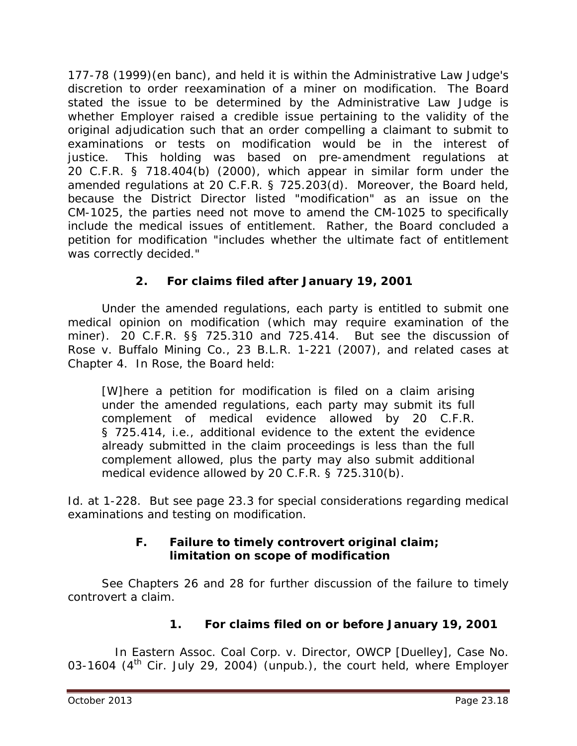177-78 (1999)(en banc), and held it is within the Administrative Law Judge's discretion to order reexamination of a miner on modification. The Board stated the issue to be determined by the Administrative Law Judge is whether Employer raised a credible issue pertaining to the validity of the original adjudication such that an order compelling a claimant to submit to examinations or tests on modification would be in the interest of justice. This holding was based on pre-amendment regulations at 20 C.F.R. § 718.404(b) (2000), which appear in similar form under the amended regulations at 20 C.F.R. § 725.203(d). Moreover, the Board held, because the District Director listed "modification" as an issue on the CM-1025, the parties need not move to amend the CM-1025 to specifically include the medical issues of entitlement. Rather, the Board concluded a petition for modification "includes whether the ultimate fact of entitlement was correctly decided."

# **2. For claims filed after January 19, 2001**

Under the amended regulations, each party is entitled to submit one medical opinion on modification (which may require examination of the miner). 20 C.F.R. §§ 725.310 and 725.414. *But see* the discussion of *Rose v. Buffalo Mining Co.*, 23 B.L.R. 1-221 (2007), and related cases at Chapter 4. In *Rose*, the Board held:

[W]here a petition for modification is filed on a claim arising under the amended regulations, each party may submit its full complement of medical evidence allowed by 20 C.F.R. § 725.414, *i.e.*, additional evidence to the extent the evidence already submitted in the claim proceedings is less than the full complement allowed, plus the party may also submit additional medical evidence allowed by 20 C.F.R. § 725.310(b).

*Id.* at 1-228. *But see* page 23.3 for special considerations regarding medical examinations and testing on modification.

## **F. Failure to timely controvert original claim; limitation on scope of modification**

*See* Chapters 26 and 28 for further discussion of the failure to timely controvert a claim.

# **1. For claims filed on or before January 19, 2001**

In *Eastern Assoc. Coal Corp. v. Director, OWCP [Duelley]*, Case No. 03-1604 (4<sup>th</sup> Cir. July 29, 2004) (unpub.), the court held, where Employer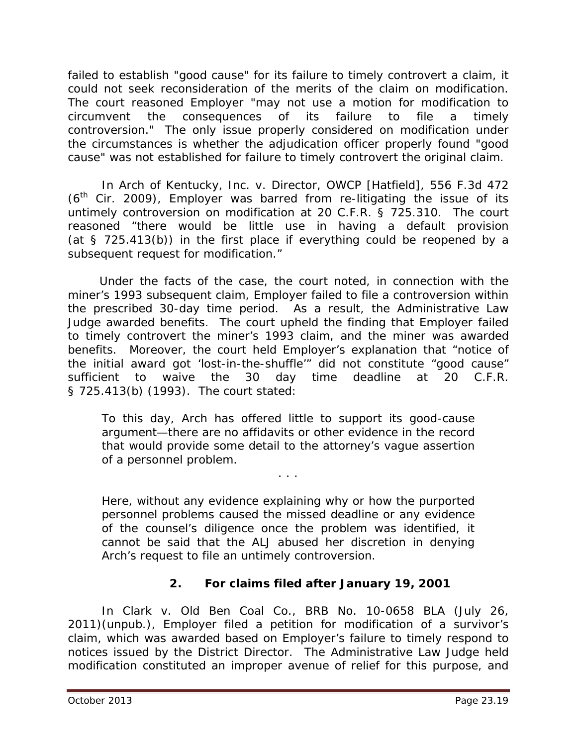failed to establish "good cause" for its failure to timely controvert a claim, it could not seek reconsideration of the merits of the claim on modification. The court reasoned Employer "may not use a motion for modification to circumvent the consequences of its failure to file a timely controversion." The only issue properly considered on modification under the circumstances is whether the adjudication officer properly found "good cause" was not established for failure to timely controvert the original claim.

In *Arch of Kentucky, Inc. v. Director, OWCP [Hatfield]*, 556 F.3d 472  $(6<sup>th</sup>$  Cir. 2009), Employer was barred from re-litigating the issue of its untimely controversion on modification at 20 C.F.R. § 725.310. The court reasoned "there would be little use in having a default provision (at § 725.413(b)) in the first place if everything could be reopened by a subsequent request for modification."

 Under the facts of the case, the court noted, in connection with the miner's 1993 subsequent claim, Employer failed to file a controversion within the prescribed 30-day time period. As a result, the Administrative Law Judge awarded benefits. The court upheld the finding that Employer failed to timely controvert the miner's 1993 claim, and the miner was awarded benefits. Moreover, the court held Employer's explanation that "notice of the initial award got 'lost-in-the-shuffle'" did not constitute "good cause" sufficient to waive the 30 day time deadline at 20 C.F.R. § 725.413(b) (1993). The court stated:

To this day, Arch has offered little to support its good-cause argument—there are no affidavits or other evidence in the record that would provide some detail to the attorney's vague assertion of a personnel problem.

. . .

Here, without any evidence explaining why or how the purported personnel problems caused the missed deadline or any evidence of the counsel's diligence once the problem was identified, it cannot be said that the ALJ abused her discretion in denying Arch's request to file an untimely controversion.

## **2. For claims filed after January 19, 2001**

In *Clark v. Old Ben Coal Co.*, BRB No. 10-0658 BLA (July 26, 2011)(unpub.), Employer filed a petition for modification of a survivor's claim, which was awarded based on Employer's failure to timely respond to notices issued by the District Director. The Administrative Law Judge held modification constituted an improper avenue of relief for this purpose, and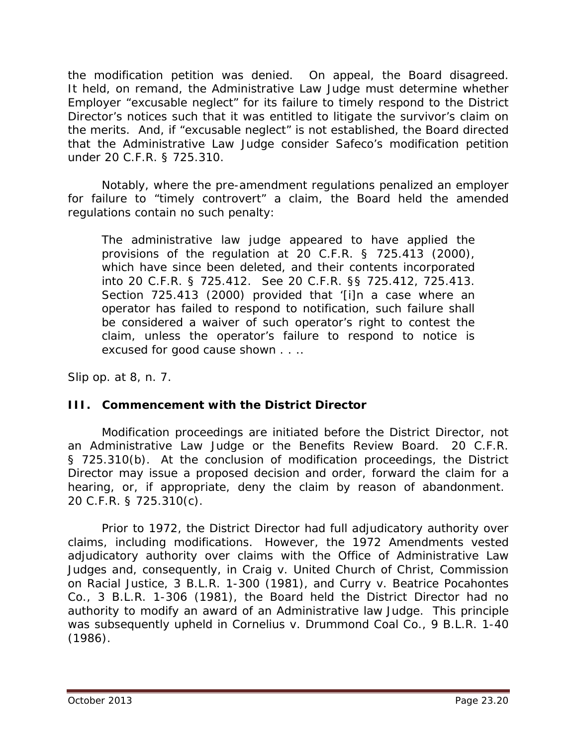the modification petition was denied. On appeal, the Board disagreed. It held, on remand, the Administrative Law Judge must determine whether Employer "excusable neglect" for its failure to timely respond to the District Director's notices such that it was entitled to litigate the survivor's claim on the merits. And, if "excusable neglect" is not established, the Board directed that the Administrative Law Judge consider Safeco's modification petition under 20 C.F.R. § 725.310.

Notably, where the pre-amendment regulations penalized an employer for failure to "timely controvert" a claim, the Board held the amended regulations contain no such penalty:

The administrative law judge appeared to have applied the provisions of the regulation at 20 C.F.R. § 725.413 (2000), which have since been deleted, and their contents incorporated into 20 C.F.R. § 725.412. *See* 20 C.F.R. §§ 725.412, 725.413. Section 725.413 (2000) provided that '[i]n a case where an operator has failed to respond to notification, such failure shall be considered a waiver of such operator's right to contest the claim, unless the operator's failure to respond to notice is excused for good cause shown . . ..

*Slip op.* at 8, n. 7.

## **III. Commencement with the District Director**

Modification proceedings are initiated before the District Director, not an Administrative Law Judge or the Benefits Review Board. 20 C.F.R. § 725.310(b). At the conclusion of modification proceedings, the District Director may issue a proposed decision and order, forward the claim for a hearing, or, if appropriate, deny the claim by reason of abandonment. 20 C.F.R. § 725.310(c).

Prior to 1972, the District Director had full adjudicatory authority over claims, including modifications. However, the 1972 Amendments vested adjudicatory authority over claims with the Office of Administrative Law Judges and, consequently, in *Craig v. United Church of Christ, Commission on Racial Justice*, 3 B.L.R. 1-300 (1981), and *Curry v. Beatrice Pocahontes Co.*, 3 B.L.R. 1-306 (1981), the Board held the District Director had no authority to modify an award of an Administrative law Judge. This principle was subsequently upheld in *Cornelius v. Drummond Coal Co.*, 9 B.L.R. 1-40 (1986).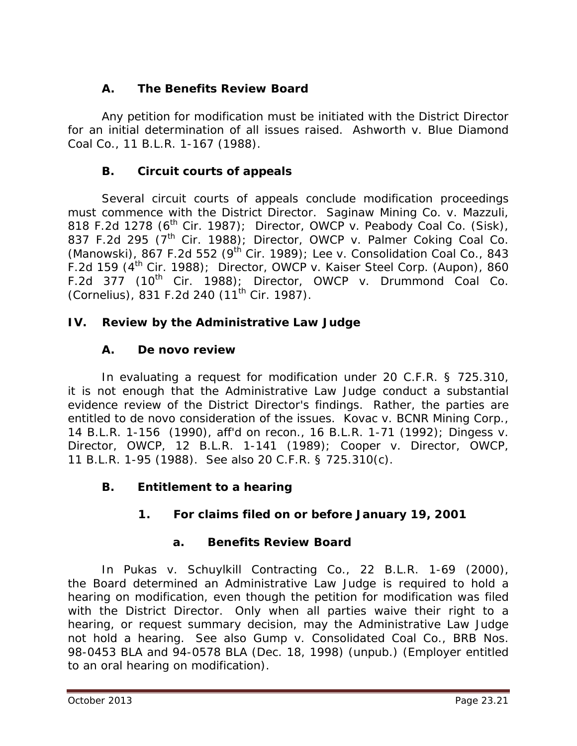# **A. The Benefits Review Board**

Any petition for modification must be initiated with the District Director for an initial determination of all issues raised. *Ashworth v. Blue Diamond Coal Co.*, 11 B.L.R. 1-167 (1988).

# **B. Circuit courts of appeals**

Several circuit courts of appeals conclude modification proceedings must commence with the District Director. *Saginaw Mining Co. v. Mazzuli*, 818 F.2d 1278 (6th Cir. 1987); *Director, OWCP v. Peabody Coal Co. (Sisk)*, 837 F.2d 295 (7th Cir. 1988); *Director, OWCP v. Palmer Coking Coal Co. (Manowski)*, 867 F.2d 552 (9th Cir. 1989); *Lee v. Consolidation Coal Co.*, 843 F.2d 159 (4th Cir. 1988); *Director, OWCP v. Kaiser Steel Corp. (Aupon)*, 860 F.2d 377 (10th Cir. 1988); *Director, OWCP v. Drummond Coal Co. (Cornelius)*, 831 F.2d 240 (11th Cir. 1987).

# **IV. Review by the Administrative Law Judge**

# **A.** *De novo* **review**

In evaluating a request for modification under 20 C.F.R. § 725.310, it is not enough that the Administrative Law Judge conduct a substantial evidence review of the District Director's findings. Rather, the parties are entitled to *de novo* consideration of the issues. *Kovac v. BCNR Mining Corp.*, 14 B.L.R. 1-156 (1990), *aff'd on recon.,* 16 B.L.R. 1-71 (1992); *Dingess v. Director, OWCP*, 12 B.L.R. 1-141 (1989); *Cooper v. Director, OWCP*, 11 B.L.R. 1-95 (1988). *See also* 20 C.F.R. § 725.310(c).

# **B. Entitlement to a hearing**

# **1. For claims filed on or before January 19, 2001**

# **a. Benefits Review Board**

In *Pukas v. Schuylkill Contracting Co.*, 22 B.L.R. 1-69 (2000), the Board determined an Administrative Law Judge is required to hold a hearing on modification, even though the petition for modification was filed with the District Director. Only when all parties waive their right to a hearing, or request summary decision, may the Administrative Law Judge not hold a hearing. *See also Gump v. Consolidated Coal Co.*, BRB Nos. 98-0453 BLA and 94-0578 BLA (Dec. 18, 1998) (unpub.) (Employer entitled to an oral hearing on modification).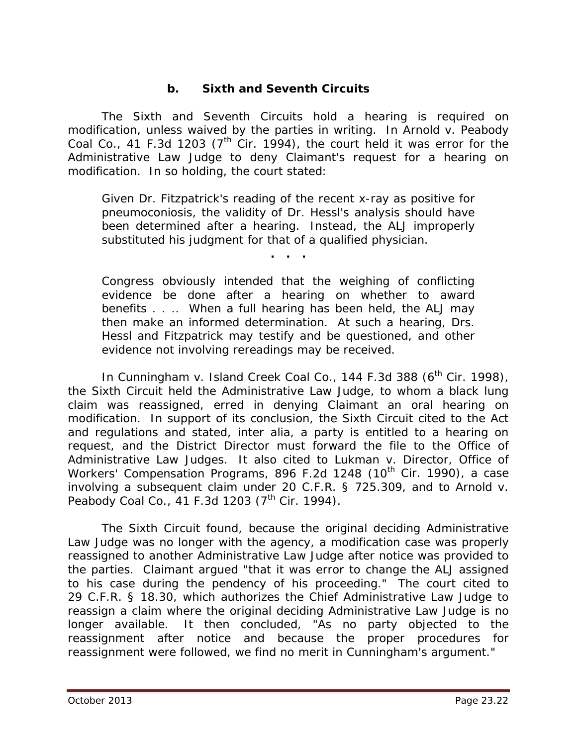## **b. Sixth and Seventh Circuits**

The Sixth and Seventh Circuits hold a hearing is required on modification, unless waived by the parties in writing. In *Arnold v. Peabody Coal Co.*, 41 F.3d 1203 ( $7<sup>th</sup>$  Cir. 1994), the court held it was error for the Administrative Law Judge to deny Claimant's request for a hearing on modification. In so holding, the court stated:

Given Dr. Fitzpatrick's reading of the recent x-ray as positive for pneumoconiosis, the validity of Dr. Hessl's analysis should have been determined after a hearing. Instead, the ALJ improperly substituted his judgment for that of a qualified physician.

**. . .**

Congress obviously intended that the weighing of conflicting evidence be done after a hearing on whether to award benefits . . .. When a full hearing has been held, the ALJ may then make an informed determination. At such a hearing, Drs. Hessl and Fitzpatrick may testify and be questioned, and other evidence not involving rereadings may be received.

In *Cunningham v. Island Creek Coal Co.*, 144 F.3d 388 (6<sup>th</sup> Cir. 1998), the Sixth Circuit held the Administrative Law Judge, to whom a black lung claim was reassigned, erred in denying Claimant an oral hearing on modification. In support of its conclusion, the Sixth Circuit cited to the Act and regulations and stated, *inter alia*, a party is entitled to a hearing on request, and the District Director must forward the file to the Office of Administrative Law Judges. It also cited to *Lukman v. Director, Office of Workers' Compensation Programs, 896 F.2d 1248 (10<sup>th</sup> Cir. 1990), a case* involving a subsequent claim under 20 C.F.R. § 725.309, and to *Arnold v. Peabody Coal Co.*, 41 F.3d 1203 (7<sup>th</sup> Cir. 1994).

The Sixth Circuit found, because the original deciding Administrative Law Judge was no longer with the agency, a modification case was properly reassigned to another Administrative Law Judge after notice was provided to the parties. Claimant argued "that it was error to change the ALJ assigned to his case during the pendency of his proceeding." The court cited to 29 C.F.R. § 18.30, which authorizes the Chief Administrative Law Judge to reassign a claim where the original deciding Administrative Law Judge is no longer available. It then concluded, "As no party objected to the reassignment after notice and because the proper procedures for reassignment were followed, we find no merit in Cunningham's argument."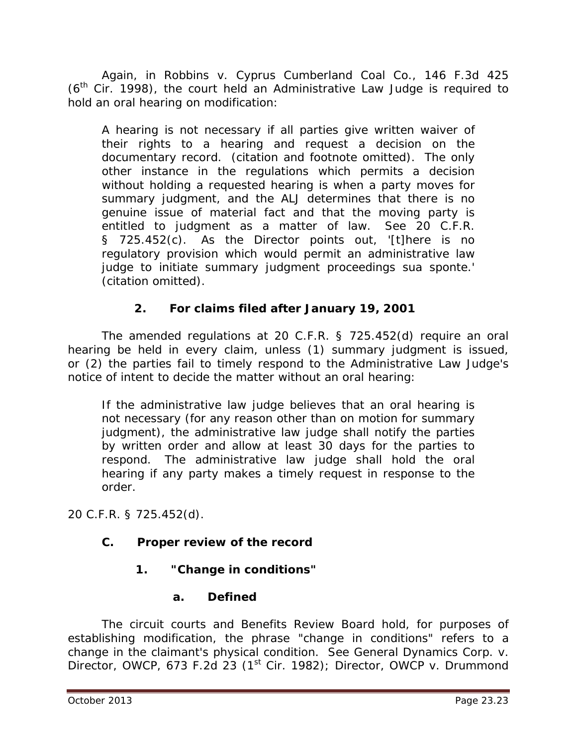Again, in *Robbins v. Cyprus Cumberland Coal Co.*, 146 F.3d 425  $(6<sup>th</sup>$  Cir. 1998), the court held an Administrative Law Judge is required to hold an oral hearing on modification:

A hearing is not necessary if all parties give written waiver of their rights to a hearing and request a decision on the documentary record. (citation and footnote omitted). The only other instance in the regulations which permits a decision without holding a requested hearing is when a party moves for summary judgment, and the ALJ determines that there is no genuine issue of material fact and that the moving party is entitled to judgment as a matter of law. See 20 C.F.R. § 725.452(c). As the Director points out, '[t]here is no regulatory provision which would permit an administrative law judge to initiate summary judgment proceedings sua sponte.' (citation omitted).

# **2. For claims filed after January 19, 2001**

The amended regulations at 20 C.F.R. § 725.452(d) require an oral hearing be held in every claim, unless (1) summary judgment is issued, or (2) the parties fail to timely respond to the Administrative Law Judge's notice of intent to decide the matter without an oral hearing:

If the administrative law judge believes that an oral hearing is not necessary (for any reason other than on motion for summary judgment), the administrative law judge shall notify the parties by written order and allow at least 30 days for the parties to respond. The administrative law judge shall hold the oral hearing if any party makes a timely request in response to the order.

20 C.F.R. § 725.452(d).

## **C. Proper review of the record**

# **1. "Change in conditions"**

## **a. Defined**

The circuit courts and Benefits Review Board hold, for purposes of establishing modification, the phrase "change in conditions" refers to a change in the claimant's physical condition. *See General Dynamics Corp. v. Director, OWCP*, 673 F.2d 23 (1st Cir. 1982); *Director, OWCP v. Drummond*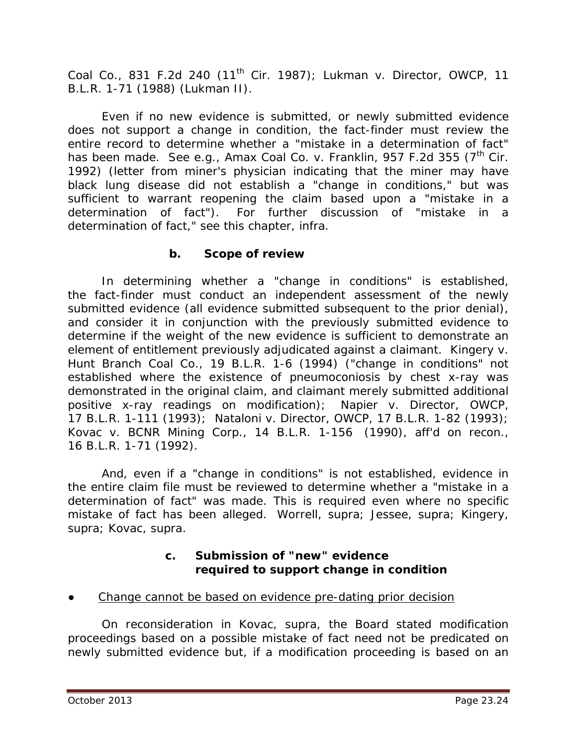*Coal Co.*, 831 F.2d 240 (11th Cir. 1987); *Lukman v. Director, OWCP*, 11 B.L.R. 1-71 (1988) (*Lukman II*).

Even if no new evidence is submitted, or newly submitted evidence does not support a change in condition, the fact-finder must review the entire record to determine whether a "mistake in a determination of fact" has been made. *See e.g., Amax Coal Co. v. Franklin*, 957 F.2d 355 (7<sup>th</sup> Cir. 1992) (letter from miner's physician indicating that the miner may have black lung disease did not establish a "change in conditions," but was sufficient to warrant reopening the claim based upon a "mistake in a determination of fact"). For further discussion of "mistake in a determination of fact," *see* this chapter, *infra*.

#### **b. Scope of review**

In determining whether a "change in conditions" is established, the fact-finder must conduct an independent assessment of the newly submitted evidence (all evidence submitted subsequent to the prior denial), and consider it in conjunction with the previously submitted evidence to determine if the weight of the new evidence is sufficient to demonstrate an element of entitlement previously adjudicated against a claimant. *Kingery v. Hunt Branch Coal Co.*, 19 B.L.R. 1-6 (1994) ("change in conditions" not established where the existence of pneumoconiosis by chest x-ray was demonstrated in the original claim, and claimant merely submitted additional positive x-ray readings on modification); *Napier v. Director, OWCP*, 17 B.L.R. 1-111 (1993); *Nataloni v. Director, OWCP*, 17 B.L.R. 1-82 (1993); *Kovac v. BCNR Mining Corp.*, 14 B.L.R. 1-156 (1990), *aff'd on recon.,* 16 B.L.R. 1-71 (1992).

And, even if a "change in conditions" is not established, evidence in the entire claim file must be reviewed to determine whether a "mistake in a determination of fact" was made. This is required even where no specific mistake of fact has been alleged. *Worrell, supra; Jessee, supra; Kingery, supra; Kovac, supra*.

#### **c. Submission of "new" evidence required to support change in condition**

Change cannot be based on evidence pre-dating prior decision

On reconsideration in *Kovac*, *supra*, the Board stated modification proceedings based on a possible mistake of fact need not be predicated on newly submitted evidence but, if a modification proceeding is based on an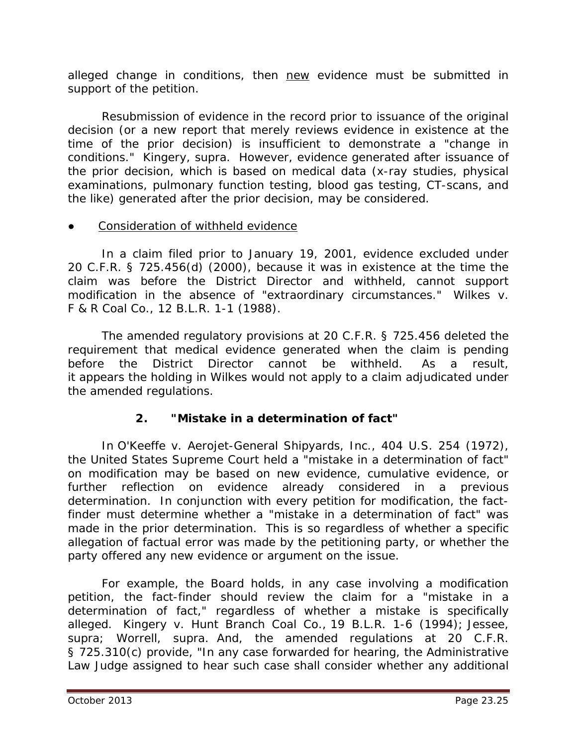alleged change in conditions, then new evidence must be submitted in support of the petition.

Resubmission of evidence in the record prior to issuance of the original decision (or a new report that merely reviews evidence in existence at the time of the prior decision) is insufficient to demonstrate a "change in conditions." *Kingery, supra.* However, evidence generated after issuance of the prior decision, which is based on medical data (x-ray studies, physical examinations, pulmonary function testing, blood gas testing, CT-scans, and the like) generated after the prior decision, may be considered.

#### Consideration of withheld evidence

In a claim filed prior to January 19, 2001, evidence excluded under 20 C.F.R. § 725.456(d) (2000), because it was in existence at the time the claim was before the District Director and withheld, cannot support modification in the absence of "extraordinary circumstances." *Wilkes v. F & R Coal Co.*, 12 B.L.R. 1-1 (1988).

The amended regulatory provisions at 20 C.F.R. § 725.456 deleted the requirement that medical evidence generated when the claim is pending before the District Director cannot be withheld. As a result, it appears the holding in *Wilkes* would not apply to a claim adjudicated under the amended regulations.

# **2. "Mistake in a determination of fact"**

In *O'Keeffe v. Aerojet-General Shipyards, Inc.*, 404 U.S. 254 (1972), the United States Supreme Court held a "mistake in a determination of fact" on modification may be based on new evidence, cumulative evidence, or further reflection on evidence already considered in a previous determination. In conjunction with every petition for modification, the factfinder must determine whether a "mistake in a determination of fact" was made in the prior determination. This is so regardless of whether a specific allegation of factual error was made by the petitioning party, or whether the party offered any new evidence or argument on the issue.

For example, the Board holds, in any case involving a modification petition, the fact-finder should review the claim for a "mistake in a determination of fact," regardless of whether a mistake is specifically alleged. *Kingery v. Hunt Branch Coal Co.,* 19 B.L.R. 1-6 (1994); *Jessee, supra; Worrell, supra*. And, the amended regulations at 20 C.F.R. § 725.310(c) provide, "In any case forwarded for hearing, the Administrative Law Judge assigned to hear such case shall consider whether any additional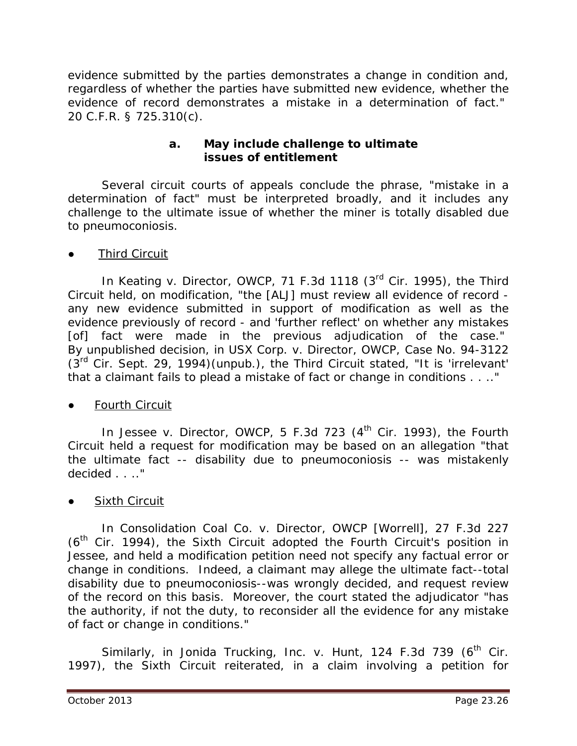evidence submitted by the parties demonstrates a change in condition and, regardless of whether the parties have submitted new evidence, whether the evidence of record demonstrates a mistake in a determination of fact." 20 C.F.R. § 725.310(c).

#### **a. May include challenge to ultimate issues of entitlement**

Several circuit courts of appeals conclude the phrase, "mistake in a determination of fact" must be interpreted broadly, and it includes any challenge to the ultimate issue of whether the miner is totally disabled due to pneumoconiosis.

#### **Third Circuit**

In *Keating v. Director, OWCP*, 71 F.3d 1118 (3<sup>rd</sup> Cir. 1995), the Third Circuit held, on modification, "the [ALJ] must review all evidence of record any new evidence submitted in support of modification as well as the evidence previously of record - and 'further reflect' on whether any mistakes [of] fact were made in the previous adjudication of the case." By unpublished decision, in *USX Corp. v. Director, OWCP*, Case No. 94-3122  $(3^{rd}$  Cir. Sept. 29, 1994)(unpub.), the Third Circuit stated, "It is 'irrelevant' that a claimant fails to plead a mistake of fact or change in conditions . . .."

**Fourth Circuit** 

In *Jessee v. Director, OWCP*, 5 F.3d 723 (4<sup>th</sup> Cir. 1993), the Fourth Circuit held a request for modification may be based on an allegation "that the ultimate fact -- disability due to pneumoconiosis -- was mistakenly decided . . .."

## **Sixth Circuit**

In *Consolidation Coal Co. v. Director, OWCP [Worrell]*, 27 F.3d 227  $(6<sup>th</sup>$  Cir. 1994), the Sixth Circuit adopted the Fourth Circuit's position in *Jessee,* and held a modification petition need not specify any factual error or change in conditions. Indeed, a claimant may allege the ultimate fact--total disability due to pneumoconiosis--was wrongly decided, and request review of the record on this basis. Moreover, the court stated the adjudicator "has the authority, if not the duty, to reconsider all the evidence for any mistake of fact or change in conditions."

Similarly, in *Jonida Trucking, Inc. v. Hunt*, 124 F.3d 739 (6<sup>th</sup> Cir. 1997), the Sixth Circuit reiterated, in a claim involving a petition for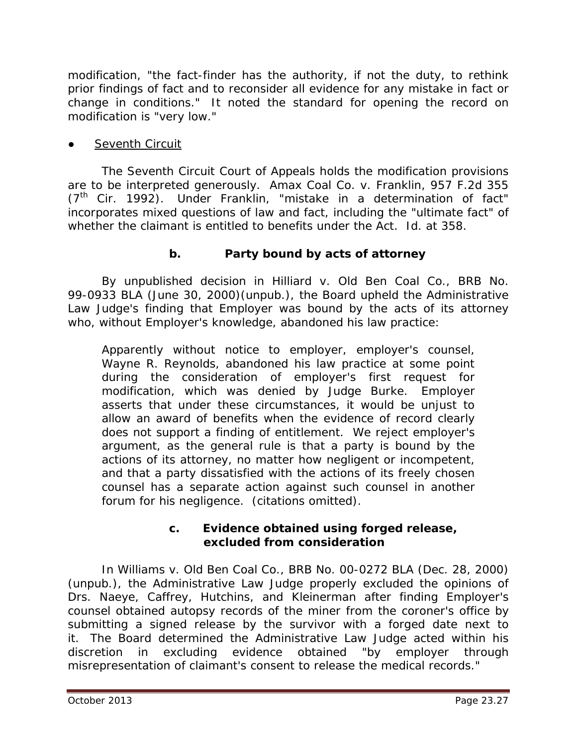modification, "the fact-finder has the authority, if not the duty, to rethink prior findings of fact and to reconsider all evidence for any mistake in fact or change in conditions." It noted the standard for opening the record on modification is "very low."

## **Seventh Circuit**

The Seventh Circuit Court of Appeals holds the modification provisions are to be interpreted generously. *Amax Coal Co. v. Franklin*, 957 F.2d 355 (7th Cir. 1992). Under *Franklin*, "mistake in a determination of fact" incorporates mixed questions of law and fact, including the "ultimate fact" of whether the claimant is entitled to benefits under the Act. *Id.* at 358.

## **b. Party bound by acts of attorney**

By unpublished decision in *Hilliard v. Old Ben Coal Co.*, BRB No. 99-0933 BLA (June 30, 2000)(unpub.), the Board upheld the Administrative Law Judge's finding that Employer was bound by the acts of its attorney who, without Employer's knowledge, abandoned his law practice:

Apparently without notice to employer, employer's counsel, Wayne R. Reynolds, abandoned his law practice at some point during the consideration of employer's first request for modification, which was denied by Judge Burke. Employer asserts that under these circumstances, it would be unjust to allow an award of benefits when the evidence of record clearly does not support a finding of entitlement. We reject employer's argument, as the general rule is that a party is bound by the actions of its attorney, no matter how negligent or incompetent, and that a party dissatisfied with the actions of its freely chosen counsel has a separate action against such counsel in another forum for his negligence. (citations omitted).

#### **c. Evidence obtained using forged release, excluded from consideration**

In *Williams v. Old Ben Coal Co.*, BRB No. 00-0272 BLA (Dec. 28, 2000) (unpub.), the Administrative Law Judge properly excluded the opinions of Drs. Naeye, Caffrey, Hutchins, and Kleinerman after finding Employer's counsel obtained autopsy records of the miner from the coroner's office by submitting a signed release by the survivor with a forged date next to it. The Board determined the Administrative Law Judge acted within his discretion in excluding evidence obtained "by employer through misrepresentation of claimant's consent to release the medical records."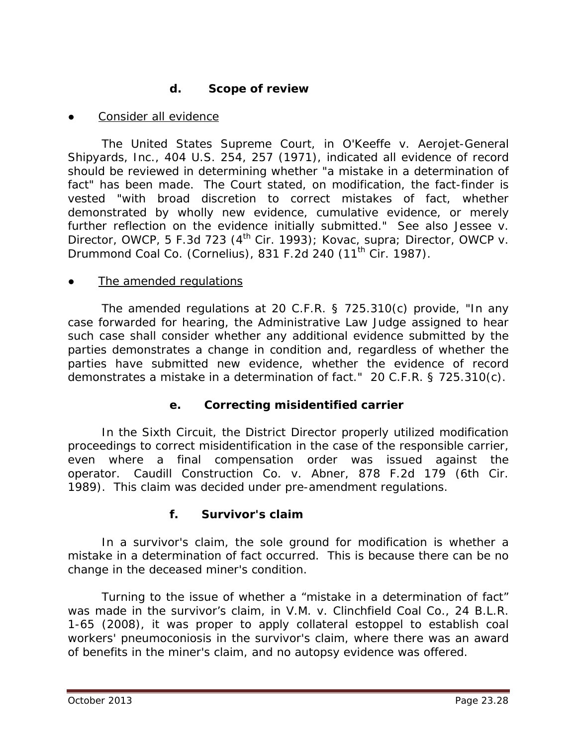## **d. Scope of review**

Consider all evidence

The United States Supreme Court, in *O'Keeffe v. Aerojet-General Shipyards, Inc.*, 404 U.S. 254, 257 (1971), indicated all evidence of record should be reviewed in determining whether "a mistake in a determination of fact" has been made. The Court stated, on modification, the fact-finder is vested "with broad discretion to correct mistakes of fact, whether demonstrated by wholly new evidence, cumulative evidence, or merely further reflection on the evidence initially submitted." *See also Jessee v. Director, OWCP*, 5 F.3d 723 (4<sup>th</sup> Cir. 1993); *Kovac, supra; Director, OWCP v. Drummond Coal Co. (Cornelius)*, 831 F.2d 240 (11th Cir. 1987).

#### The amended regulations

The amended regulations at 20 C.F.R. § 725.310(c) provide, "In any case forwarded for hearing, the Administrative Law Judge assigned to hear such case shall consider whether any additional evidence submitted by the parties demonstrates a change in condition and, regardless of whether the parties have submitted new evidence, whether the evidence of record demonstrates a mistake in a determination of fact." 20 C.F.R. § 725.310(c).

## **e. Correcting misidentified carrier**

In the Sixth Circuit, the District Director properly utilized modification proceedings to correct misidentification in the case of the responsible *carrier*, even where a final compensation order was issued against the operator. *Caudill Construction Co. v. Abner*, 878 F.2d 179 (6th Cir. 1989). This claim was decided under pre-amendment regulations.

## **f. Survivor's claim**

In a survivor's claim, the sole ground for modification is whether a mistake in a determination of fact occurred. This is because there can be no change in the deceased miner's condition.

Turning to the issue of whether a "mistake in a determination of fact" was made in the survivor's claim, in *V.M. v. Clinchfield Coal Co.*, 24 B.L.R. 1-65 (2008), it was proper to apply collateral estoppel to establish coal workers' pneumoconiosis in the survivor's claim, where there was an award of benefits in the miner's claim, and no autopsy evidence was offered.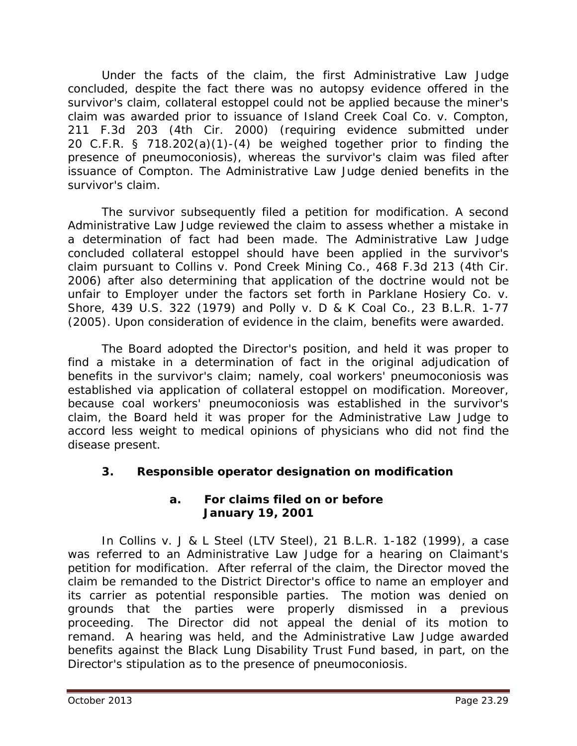Under the facts of the claim, the first Administrative Law Judge concluded, despite the fact there was no autopsy evidence offered in the survivor's claim, collateral estoppel could not be applied because the miner's claim was awarded prior to issuance of *Island Creek Coal Co. v. Compton*, 211 F.3d 203 (4th Cir. 2000) (requiring evidence submitted under 20 C.F.R. § 718.202(a)(1)-(4) be weighed together prior to finding the presence of pneumoconiosis), whereas the survivor's claim was filed after issuance of *Compton*. The Administrative Law Judge denied benefits in the survivor's claim.

 The survivor subsequently filed a petition for modification. A second Administrative Law Judge reviewed the claim to assess whether a mistake in a determination of fact had been made. The Administrative Law Judge concluded collateral estoppel should have been applied in the survivor's claim pursuant to *Collins v. Pond Creek Mining Co*., 468 F.3d 213 (4th Cir. 2006) after also determining that application of the doctrine would not be unfair to Employer under the factors set forth in *Parklane Hosiery Co. v. Shore,* 439 U.S. 322 (1979) and *Polly v. D & K Coal Co.*, 23 B.L.R. 1-77 (2005). Upon consideration of evidence in the claim, benefits were awarded.

 The Board adopted the Director's position, and held it was proper to find a mistake in a determination of fact in the original adjudication of benefits in the survivor's claim; namely, coal workers' pneumoconiosis was established via application of collateral estoppel on modification. Moreover, because coal workers' pneumoconiosis was established in the survivor's claim, the Board held it was proper for the Administrative Law Judge to accord less weight to medical opinions of physicians who did not find the disease present.

## **3. Responsible operator designation on modification**

#### **a. For claims filed on or before January 19, 2001**

In *Collins v. J & L Steel (LTV Steel)*, 21 B.L.R. 1-182 (1999), a case was referred to an Administrative Law Judge for a hearing on Claimant's petition for modification. After referral of the claim, the Director moved the claim be remanded to the District Director's office to name an employer and its carrier as potential responsible parties. The motion was denied on grounds that the parties were properly dismissed in a previous proceeding. The Director did not appeal the denial of its motion to remand. A hearing was held, and the Administrative Law Judge awarded benefits against the Black Lung Disability Trust Fund based, in part, on the Director's stipulation as to the presence of pneumoconiosis.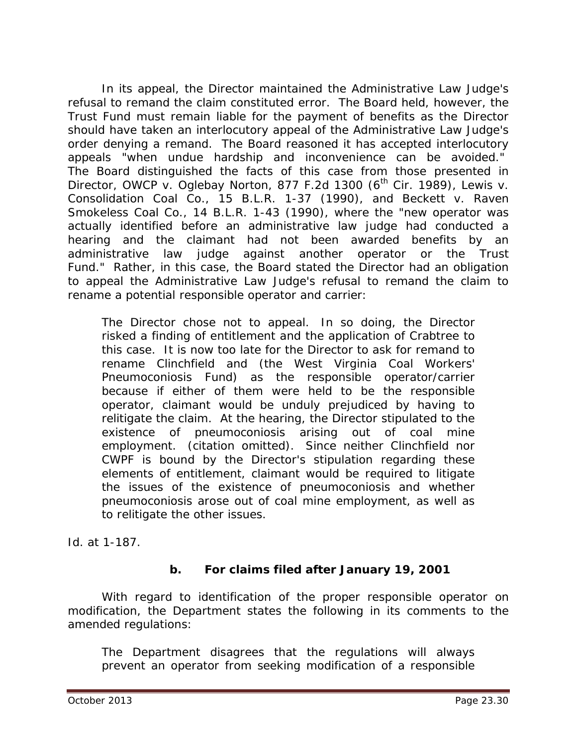In its appeal, the Director maintained the Administrative Law Judge's refusal to remand the claim constituted error. The Board held, however, the Trust Fund must remain liable for the payment of benefits as the Director should have taken an interlocutory appeal of the Administrative Law Judge's order denying a remand. The Board reasoned it has accepted interlocutory appeals "when undue hardship and inconvenience can be avoided." The Board distinguished the facts of this case from those presented in *Director, OWCP v. Oglebay Norton, 877 F.2d 1300 (6<sup>th</sup> Cir. 1989), Lewis v. Consolidation Coal Co.*, 15 B.L.R. 1-37 (1990), and *Beckett v. Raven Smokeless Coal Co.*, 14 B.L.R. 1-43 (1990), where the "new operator was actually identified before an administrative law judge had conducted a hearing and the claimant had not been awarded benefits by an administrative law judge against another operator or the Trust Fund." Rather, in this case, the Board stated the Director had an obligation to appeal the Administrative Law Judge's refusal to remand the claim to rename a potential responsible operator and carrier:

The Director chose not to appeal. In so doing, the Director risked a finding of entitlement and the application of *Crabtree* to this case. It is now too late for the Director to ask for remand to rename Clinchfield and (the West Virginia Coal Workers' Pneumoconiosis Fund) as the responsible operator/carrier because if either of them were held to be the responsible operator, claimant would be unduly prejudiced by having to relitigate the claim. At the hearing, the Director stipulated to the existence of pneumoconiosis arising out of coal mine employment. (citation omitted). Since neither Clinchfield nor CWPF is bound by the Director's stipulation regarding these elements of entitlement, claimant would be required to litigate the issues of the existence of pneumoconiosis and whether pneumoconiosis arose out of coal mine employment, as well as to relitigate the other issues.

*Id.* at 1-187.

## **b. For claims filed after January 19, 2001**

With regard to identification of the proper responsible operator on modification, the Department states the following in its comments to the amended regulations:

The Department disagrees that the regulations will always prevent an operator from seeking modification of a responsible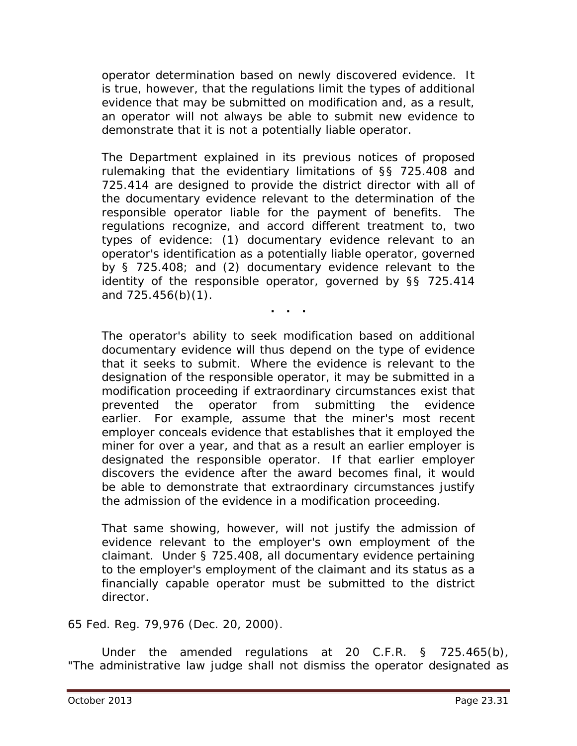operator determination based on newly discovered evidence. It is true, however, that the regulations limit the types of additional evidence that may be submitted on modification and, as a result, an operator will not always be able to submit new evidence to demonstrate that it is not a potentially liable operator.

The Department explained in its previous notices of proposed rulemaking that the evidentiary limitations of §§ 725.408 and 725.414 are designed to provide the district director with all of the documentary evidence relevant to the determination of the responsible operator liable for the payment of benefits. The regulations recognize, and accord different treatment to, two types of evidence: (1) documentary evidence relevant to an operator's identification as a potentially liable operator, governed by § 725.408; and (2) documentary evidence relevant to the identity of the responsible operator, governed by §§ 725.414 and 725.456(b)(1).

**. . .**

The operator's ability to seek modification based on additional documentary evidence will thus depend on the type of evidence that it seeks to submit. Where the evidence is relevant to the designation of the responsible operator, it may be submitted in a modification proceeding if extraordinary circumstances exist that prevented the operator from submitting the evidence earlier. For example, assume that the miner's most recent employer conceals evidence that establishes that it employed the miner for over a year, and that as a result an earlier employer is designated the responsible operator. If that earlier employer discovers the evidence after the award becomes final, it would be able to demonstrate that extraordinary circumstances justify the admission of the evidence in a modification proceeding.

That same showing, however, will not justify the admission of evidence relevant to the employer's own employment of the claimant. Under § 725.408, all documentary evidence pertaining to the employer's employment of the claimant and its status as a financially capable operator must be submitted to the district director.

65 Fed. Reg. 79,976 (Dec. 20, 2000).

Under the amended regulations at 20 C.F.R. § 725.465(b), "The administrative law judge shall not dismiss the operator designated as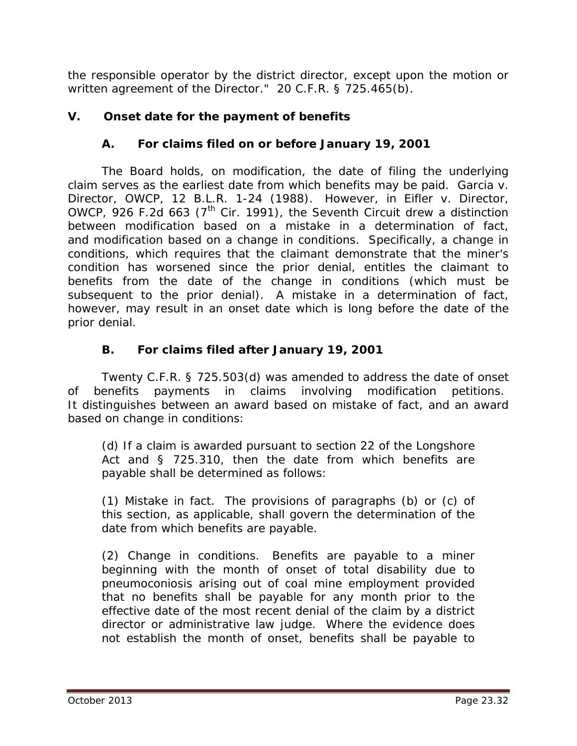the responsible operator by the district director, except upon the motion or written agreement of the Director." 20 C.F.R. § 725.465(b).

# **V. Onset date for the payment of benefits**

## **A. For claims filed on or before January 19, 2001**

The Board holds, on modification, the date of filing the underlying claim serves as the earliest date from which benefits may be paid. *Garcia v. Director, OWCP*, 12 B.L.R. 1-24 (1988). However, in *Eifler v. Director, OWCP*, 926 F.2d 663 ( $7<sup>th</sup>$  Cir. 1991), the Seventh Circuit drew a distinction between modification based on a mistake in a determination of fact, and modification based on a change in conditions. Specifically, a change in conditions, which requires that the claimant demonstrate that the miner's condition has worsened since the prior denial, entitles the claimant to benefits from the date of the change in conditions (which must be subsequent to the prior denial). A mistake in a determination of fact, however, may result in an onset date which is long before the date of the prior denial.

## **B. For claims filed after January 19, 2001**

Twenty C.F.R. § 725.503(d) was amended to address the date of onset of benefits payments in claims involving modification petitions. It distinguishes between an award based on mistake of fact, and an award based on change in conditions:

(d) If a claim is awarded pursuant to section 22 of the Longshore Act and § 725.310, then the date from which benefits are payable shall be determined as follows:

(1) Mistake in fact. The provisions of paragraphs (b) or (c) of this section, as applicable, shall govern the determination of the date from which benefits are payable.

(2) Change in conditions. Benefits are payable to a miner beginning with the month of onset of total disability due to pneumoconiosis arising out of coal mine employment provided that no benefits shall be payable for any month prior to the effective date of the most recent denial of the claim by a district director or administrative law judge. Where the evidence does not establish the month of onset, benefits shall be payable to